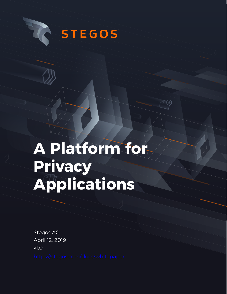

# **A Platform for Privacy Applications**

Stegos AG April 12, 2019 v1.0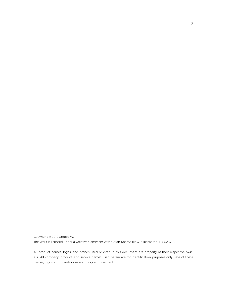Copyright © 2019 Stegos AG This work is licensed under a Creative Commons Attribution-ShareAlike 3.0 license (CC BY-SA 3.0).

All product names, logos, and brands used or cited in this document are property of their respective owners. All company, product, and service names used herein are for identification purposes only. Use of these names, logos, and brands does not imply endorsement.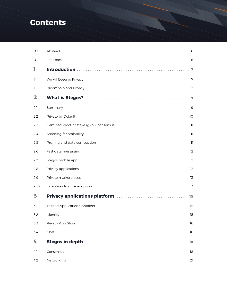# **Contents**

| O.1          | Abstract                                 | 6  |
|--------------|------------------------------------------|----|
| 0.2          | Feedback                                 | 6  |
| ı            |                                          | 7  |
| 1.1          | We All Deserve Privacy                   | 7  |
| 1.2          | <b>Blockchain and Privacy</b>            | 7  |
| $\mathbf{2}$ |                                          | 9  |
| 2.1          | Summary                                  | 9  |
| 2.2          | Private by Default                       | 10 |
| 2.3          | Gamified Proof-of-stake (gPoS) consensus | 11 |
| 2.4          | Sharding for scalability                 | 11 |
| 2.5          | Pruning and data compaction              | 11 |
| 2.6          | Fast data messaging                      | 12 |
| 2.7          | Stegos mobile app                        | 12 |
| 2.8          | Privacy applications                     | 12 |
| 2.9          | Private marketplaces                     | 13 |
| 2.10         | Incentives to drive adoption             | 13 |
| 3            |                                          | 15 |
| 3.1          | <b>Trusted Application Container</b>     | 15 |
| 3.2          | Identity                                 | 15 |
| 3.3          | Privacy App Store                        | 16 |
| 3.4          | Chat                                     | 16 |
| 4            |                                          | 18 |
| 4.1          | Consensus                                | 18 |
| 4.2          | Networking                               | 21 |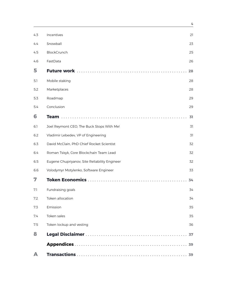|     |                                               | 4  |
|-----|-----------------------------------------------|----|
| 4.3 | Incentives                                    | 21 |
| 4.4 | Snowball                                      | 23 |
| 4.5 | <b>BlockCrunch</b>                            | 25 |
| 4.6 | FastData                                      | 26 |
| 5   | <b>Future work</b>                            | 28 |
| 5.1 | Mobile staking                                | 28 |
| 5.2 | Marketplaces                                  | 28 |
| 5.3 | Roadmap                                       | 29 |
| 5.4 | Conclusion                                    | 29 |
| 6   | <b>Team</b>                                   | 31 |
| 6.1 | Joel Reymont CEO, The Buck Stops With Me!     | 31 |
| 6.2 | Vladimir Lebedev, VP of Engineering           | 31 |
| 6.3 | David McClain, PhD Chief Rocket Scientist     | 32 |
| 6.4 | Roman Tsisyk, Core Blockchain Team Lead       | 32 |
| 6.5 | Eugene Chupriyanov, Site Reliability Engineer | 32 |
| 6.6 | Volodymyr Motylenko, Software Engineer        | 33 |
| 7   | <b>Token Economics.</b>                       | 34 |
| 7.1 | Fundraising goals                             | 34 |
| 7.2 | Token allocation                              | 34 |
| 7.3 | Emission                                      | 35 |
| 7.4 | Token sales                                   | 35 |
| 7.5 | Token lockup and vesting                      | 36 |
| 8   |                                               | 37 |
|     |                                               |    |
| А   |                                               |    |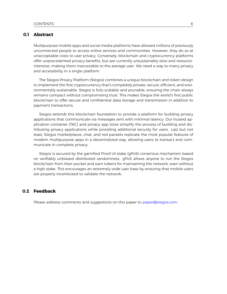# <span id="page-5-0"></span>**0.1 Abstract**

Multipurpose mobile apps and social media platforms have allowed millions of previously unconnected people to access online services and communities. However, they do so at unacceptable costs to user privacy. Conversely, blockchain and cryptocurrency platforms offer unprecedented privacy benefits, but are currently unsustainably slow and resourceintensive, making them inaccessible to the average user. We need a way to marry privacy and accessibility in a single platform.

The Stegos Privacy Platform (Stegos) combines a unique blockchain and token design to implement the first cryptocurrency that's completely private, secure, efficient, and environmentally sustainable. Stegos is fully scalable and prunable, ensuring the chain always remains compact without compromising trust. This makes Stegos the world's first public blockchain to offer secure and confidential data storage and transmission in addition to payment transactions.

Stegos extends this blockchain foundation to provide a platform for building privacy applications that communicate via messages sent with minimal latency. Our trusted application container (TAC) and privacy app store simplify the process of building and distributing privacy applications while providing additional security for users. Last but not least, Stegos marketplaces, chat, and red packets replicate the most popular features of modern multipurpose apps in a decentralized way, allowing users to transact and communicate in complete privacy.

Stegos is secured by the gamified Proof-of-stake (gPoS) consensus mechanism based on verifiably unbiased distributed randomness. gPoS allows anyone to run the Stegos blockchain from their pocket and earn tokens for maintaining the network, even without a high stake. This encourages an extremely wide user base by ensuring that mobile users are properly incentivized to validate the network.

### <span id="page-5-1"></span>**0.2 Feedback**

Please address comments and suggestions on this paper to [paper@stegos.com.](mailto:paper@stegos.com)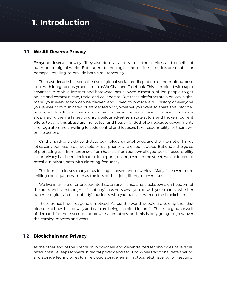# <span id="page-6-0"></span>**1. Introduction**

# <span id="page-6-1"></span>**1.1 We All Deserve Privacy**

Everyone deserves privacy. They also deserve access to all the services and benefits of our modern digital world. But current technologies and business models are unable, or perhaps unwilling, to provide both simultaneously.

The past decade has seen the rise of global social media platforms and multipurpose apps with integrated payments such as WeChat and Facebook. This, combined with rapid advances in mobile internet and hardware, has allowed almost a billion people to get online and communicate, trade, and collaborate. But these platforms are a privacy nightmare: your every action can be tracked and linked to provide a full history of everyone you've ever communicated or transacted with, whether you want to share this information or not. In addition, user data is often harvested indiscriminately into enormous data silos, making them a target for unscrupulous advertisers, state actors, and hackers. Current efforts to curb this abuse are ineffectual and heavy-handed, often because governments and regulators are unwilling to cede control and let users take responsibility for their own online actions.

On the hardware side, solid-state technology, smartphones, and the Internet of Things let us carry our lives in our pockets, on our phones and on our laptops. But under the guise of protecting us — from terrorism, from hackers, from our own alleged lack of responsibility — our privacy has been decimated. In airports, online, even on the street, we are forced to reveal our private data with alarming frequency.

This intrusion leaves many of us feeling exposed and powerless. Many face even more chilling consequences, such as the loss of their jobs, liberty, or even lives.

We live in an era of unprecedented state surveillance and crackdowns on freedom of the press and even thought. It's nobody's business what you do with your money, whether paper or digital, and it's nobody's business who you transact with on the blockchain.

These trends have not gone unnoticed. Across the world, people are voicing their displeasure at how their privacy and data are being exploited for profit. There is a groundswell of demand for more secure and private alternatives, and this is only going to grow over the coming months and years.

# <span id="page-6-2"></span>**1.2 Blockchain and Privacy**

At the other end of the spectrum, blockchain and decentralized technologies have facilitated massive leaps forward in digital privacy and security. While traditional data sharing and storage technologies (online cloud storage, email, laptops, etc.) have built-in security,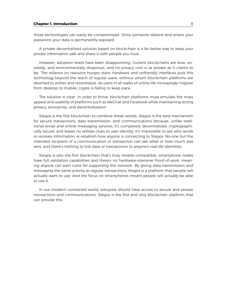#### **Chapter 1. Introduction** 8

these technologies can easily be compromised. Once someone obtains and enters your password, your data is permanently exposed.

A private decentralized solution based on blockchain is a far better way to keep your private information safe and share it with people you trust.

However, adoption levels have been disappointing. Current blockchains are slow, unwieldy, and environmentally disastrous, and no privacy coin is as private as it claims to be. The reliance on resource-hungry static hardware and unfriendly interfaces puts this technology beyond the reach of regular users, without whom blockchain platforms are doomed to wither and recentralize. As users in all walks of online life increasingly migrate from desktop to mobile, crypto is failing to keep pace.

The solution is clear: In order to thrive, blockchain platforms must emulate the mass appeal and usability of platforms such as WeChat and Facebook while maintaining strong privacy, anonymity, and decentralization.

Stegos is the first blockchain to combine these worlds. Stegos is the best mechanism for secure transactions, data transmission, and communications because, unlike traditional email and online messaging services, it's completely decentralized, cryptographically secure, and leaves no telltale clues to user identity. It's impossible to see who sends or receives information or establish how anyone is connecting to Stegos. No-one but the intended recipient of a communication or transaction can see what or how much was sent, and there's nothing to link data or transactions to anyone's real-life identities.

Stegos is also the first blockchain that's truly mobile compatible: smartphone nodes have full validation capabilities and there's no hardware-intensive Proof-of-work, meaning anyone can earn coins for supporting the network. By giving data transmission and messaging the same priority as regular transactions, Stegos is a platform that people will actually want to use. And the focus on smartphones means people will actually be able to use it.

In our modern connected world, everyone should have access to secure and private transactions and communications. Stegos is the first and only blockchain platform that can provide this.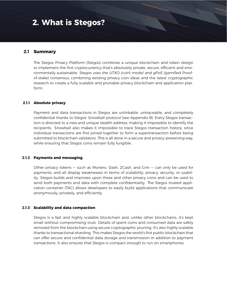# <span id="page-8-0"></span>**2. What is Stegos?**

# <span id="page-8-1"></span>**2.1 Summary**

The Stegos Privacy Platform (Stegos) combines a unique blockchain and token design to implement the first cryptocurrency that's absolutely private, secure, efficient and environmentally sustainable. Stegos uses the *UTXO* (coin) model and *gPoS* (gamified Proofof-stake) consensus, combining existing privacy coin ideas and the latest cryptographic research to create a fully scalable and prunable privacy blockchain and application platform.

# **2.1.1 Absolute privacy**

Payment and data transactions in Stegos are unlinkable, untraceable, and completely confidential thanks to Stegos' Snowball protocol (see Appendix [B\)](#page-43-0). Every Stegos transaction is directed to a new and unique stealth address, making it impossible to identify the recipients. Snowball also makes it impossible to trace Stegos transaction history, since individual transactions are first joined together to form a supertransaction before being submitted to blockchain validators. This is all done in a secure and privacy-preserving way, while ensuring that Stegos coins remain fully fungible.

#### **2.1.2 Payments and messaging**

Other privacy tokens — such as Monero, Dash, ZCash, and Grin — can only be used for payments, and all display weaknesses in terms of scalability, privacy, security, or usability. Stegos builds and improves upon these and other privacy coins and can be used to send both payments and data with complete confidentiality. The Stegos trusted application container (TAC) allows developers to easily build applications that communicate anonymously, privately, and efficiently.

#### **2.1.3 Scalability and data compaction**

Stegos is a fast and highly scalable blockchain and, unlike other blockchains, it's kept small without compromising trust. Details of spent coins and consumed data are safely removed from the blockchain using secure cryptographic pruning. It's also highly scalable thanks to transactional sharding. This makes Stegos the world's first public blockchain that can offer secure and confidential data storage and transmission in addition to payment transactions. It also ensures that Stegos is compact enough to run on smartphones.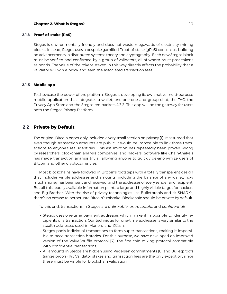#### **2.1.4 Proof-of-stake (PoS)**

Stegos is environmentally friendly and does not waste megawatts of electricity mining blocks. Instead, Stegos uses a bespoke gamified Proof-of-stake (gPoS) consensus, building on advancements in distributed systems theory and cryptography. Each new Stegos block must be verified and confirmed by a group of validators, all of whom must post tokens as bonds. The value of the tokens staked in this way directly affects the probability that a validator will win a block and earn the associated transaction fees.

#### **2.1.5 Mobile app**

To showcase the power of the platform, Stegos is developing its own native multi-purpose mobile application that integrates a wallet, one-one-one and group chat, the TAC, the Privacy App Store and the Stegos red packets [4.3.2.](#page-21-0) This app will be the gateway for users onto the Stegos Privacy Platform.

# <span id="page-9-0"></span>**2.2 Private by Default**

The original Bitcoin paper only included a very small section on privacy [\[1\]](#page-52-0). It assumed that even though transaction amounts are public, it would be impossible to link those transactions to anyone's real identities. This assumption has repeatedly been proven wrong by researchers, blockchain analysis companies, and hackers. Software like ChainAnalysis has made transaction analysis trivial, allowing anyone to quickly de-anonymize users of Bitcoin and other cryptocurrencies.

Most blockchains have followed in Bitcoin's footsteps with a totally transparent design that includes visible addresses and amounts, including the balance of any wallet, how much money has been sent and received, and the addresses of every sender and recipient. But all this readily available information paints a large and highly visible target for hackers and Big Brother. With the rise of privacy technologies like Bulletproofs and zk-SNARKs, there's no excuse to perpetuate Bitcoin's mistake. Blockchain should be private by default.

To this end, transactions in Stegos are *unlinkable*, *untraceable*, and *confidential*:

- Stegos uses one-time payment addresses which make it impossible to identify recipients of a transaction. Our technique for one-time addresses is very similar to the stealth addresses used in Monero and ZCash.
- Stegos pools individual transactions to form super-transactions, making it impossible to trace transaction histories. For this purpose, we have developed an improved version of the ValueShuffle protocol [\[7\]](#page-52-1), the first coin mixing protocol compatible with confidential transactions.
- All amounts in Stegos are hidden using Pedersen commitments [\[8\]](#page-52-2) and Bulletproofs (range proofs) [\[4\]](#page-52-3). Validator stakes and transaction fees are the only exception, since these must be visible for blockchain validation.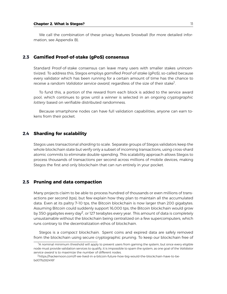We call the combination of these privacy features Snowball (for more detailed information, see Appendix [B\)](#page-43-0).

# <span id="page-10-0"></span>**2.3 Gamified Proof-of-stake (gPoS) consensus**

Standard Proof-of-stake consensus can leave many users with smaller stakes unincentivized. To address this, Stegos employs *gamified Proof-of-stake* (gPoS), so-called because every validator which has been running for a certain amount of time has the chance to receive a random *Validator service award*, regardless of the size of their stake<sup>[1](#page-10-3)</sup>. .

To fund this, a portion of the reward from each block is added to the service award pool, which continues to grow until a winner is selected in an ongoing *cryptographic lottery* based on verifiable distributed randomness.

Because smartphone nodes can have full validation capabilities, anyone can earn tokens from their pocket.

# <span id="page-10-1"></span>**2.4 Sharding for scalability**

Stegos uses transactional *sharding* to scale. Separate groups of Stegos validators keep the whole blockchain state but verify only a subset of incoming transactions, using cross-shard atomic commits to eliminate double-spending. This scalability approach allows Stegos to process thousands of transactions per second across millions of mobile devices, making Stegos the first and only blockchain that can run entirely in your pocket.

# <span id="page-10-2"></span>**2.5 Pruning and data compaction**

Many projects claim to be able to process hundred of thousands or even millions of transactions per second (tps), but few explain how they plan to maintain all the accumulated data. Even at its paltry 7–10 tps, the Bitcoin blockchain is now larger than 200 gigabytes. Assuming Bitcoin could suddenly support 16,000 tps, the Bitcoin blockchain would grow by 350 gigabytes every day<sup>[2](#page-10-4)</sup>, or 127 terabytes every year. This amount of data is completely unsustainable without the blockchain being centralized on a few supercomputers, which runs contrary to the decentralization ethos of blockchain.

Stegos is a *compact* blockchain. Spent coins and expired data are safely removed from the blockchain using secure cryptographic pruning. To keep our blockchain free of

<span id="page-10-3"></span> $1_A$  nominal minimum threshold will apply to prevent users from gaming the system, but since every eligible node must provide validation services to qualify, it is impossible to spam the system, as one goal of the *Validator* service award is to maximize the number of different nodes.

<span id="page-10-4"></span><sup>2</sup>https://hackernoon.com/if-we-lived-in-a-bitcoin-future-how-big-would-the-blockchain-have-to-bebd07b282416f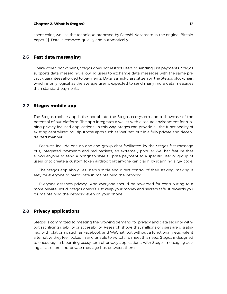spent coins, we use the technique proposed by Satoshi Nakamoto in the original Bitcoin paper [\[1\]](#page-52-0). Data is removed quickly and automatically.

# <span id="page-11-0"></span>**2.6 Fast data messaging**

Unlike other blockchains, Stegos does not restrict users to sending just payments. Stegos supports data messaging, allowing users to exchange data messages with the same privacy guarantees afforded to payments. Data is a first-class citizen on the Stegos blockchain, which is only logical as the average user is expected to send many more data messages than standard payments.

# <span id="page-11-1"></span>**2.7 Stegos mobile app**

The Stegos mobile app is the portal into the Stegos ecosystem and a showcase of the potential of our platform. The app integrates a wallet with a secure environment for running privacy-focused applications. In this way, Stegos can provide all the functionality of existing centralized multipurpose apps such as WeChat, but in a fully private and decentralized manner.

Features include one-on-one and group chat facilitated by the Stegos fast message bus, integrated payments and red packets, an extremely popular WeChat feature that allows anyone to send a hongbao-style surprise payment to a specific user or group of users or to create a custom token airdrop that anyone can claim by scanning a QR code.

The Stegos app also gives users simple and direct control of their staking, making it easy for everyone to participate in maintaining the network.

Everyone deserves privacy. And everyone should be rewarded for contributing to a more private world. Stegos doesn't just keep your money and secrets safe. It rewards you for maintaining the network, even on your phone.

# <span id="page-11-2"></span>**2.8 Privacy applications**

Stegos is committed to meeting the growing demand for privacy and data security without sacrificing usability or accessibility. Research shows that millions of users are dissatisfied with platforms such as Facebook and WeChat, but without a functionally equivalent alternative they feel locked in and unable to switch. To meet this need, Stegos is designed to encourage a blooming ecosystem of privacy applications, with Stegos messaging acting as a secure and private message bus between them.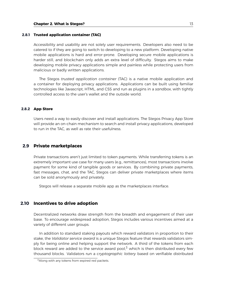#### **2.8.1 Trusted application container (TAC)**

Accessibility and usability are not solely user requirements. Developers also need to be catered to if they are going to switch to developing to a new platform. Developing native mobile applications is hard and error-prone. Developing secure mobile applications is harder still, and blockchain only adds an extra level of difficulty. Stegos aims to make developing mobile privacy applications simple and painless while protecting users from malicious or badly written applications.

The Stegos *trusted application container* (TAC) is a native mobile application and a container for deploying privacy applications. Applications can be built using familiar technologies like Javascript, HTML, and CSS and run as plugins in a *sandbox*, with tightly controlled access to the user's wallet and the outside world.

#### **2.8.2 App Store**

Users need a way to easily discover and install applications. The Stegos Privacy App Store will provide an on-chain mechanism to search and install privacy applications, developed to run in the TAC, as well as rate their usefulness.

### <span id="page-12-0"></span>**2.9 Private marketplaces**

Private transactions aren't just limited to token payments. While transferring tokens is an extremely important use case for many users (e.g., remittances), most transactions involve payment for some kind of tangible goods or services. By combining private payments, fast messages, chat, and the TAC, Stegos can deliver private marketplaces where items can be sold anonymously and privately.

<span id="page-12-1"></span>Stegos will release a separate mobile app as the marketplaces interface.

# **2.10 Incentives to drive adoption**

Decentralized networks draw strength from the breadth and engagement of their user base. To encourage widespread adoption, Stegos includes various incentives aimed at a variety of different user groups.

In addition to standard staking payouts which reward validators in proportion to their stake, the *Validator service award* is a unique Stegos feature that rewards validators simply for being online and helping support the network. A third of the tokens from each block reward are added to the service award pool, $3$  which is then distributed every few thousand blocks. Validators run a *cryptographic lottery* based on verifiable distributed

<span id="page-12-2"></span><sup>&</sup>lt;sup>3</sup>Along with any tokens from expired red packets.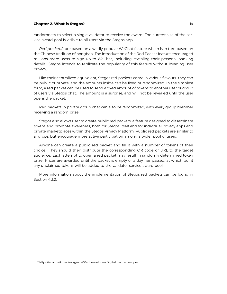randomness to select a single validator to receive the award. The current size of the service award pool is visible to all users via the Stegos app.

*Red packets*[4](#page-13-0) are based on a wildly popular WeChat feature which is in turn based on the Chinese tradition of hongbao. The introduction of the Red Packet feature encouraged millions more users to sign up to WeChat, including revealing their personal banking details. Stegos intends to replicate the popularity of this feature without invading user privacy.

Like their centralized equivalent, Stegos red packets come in various flavours: they can be public or private, and the amounts inside can be fixed or randomized. In the simplest form, a red packet can be used to send a fixed amount of tokens to another user or group of users via Stegos chat. The amount is a surprise, and will not be revealed until the user opens the packet.

Red packets in private group chat can also be randomized, with every group member receiving a random prize.

Stegos also allows user to create public red packets, a feature designed to disseminate tokens and promote awareness, both for Stegos itself and for individual privacy apps and private marketplaces within the Stegos Privacy Platform. Public red packets are similar to airdrops, but encourage more active participation among a wider pool of users.

Anyone can create a public red packet and fill it with a number of tokens of their choice. They should then distribute the corresponding QR code or URL to the target audience. Each attempt to open a red packet may result in randomly determined token prize. Prizes are awarded until the packet is empty or a day has passed, at which point any unclaimed tokens will be added to the validator service award pool.

More information about the implementation of Stegos red packets can be found in Section [4.3.2.](#page-21-0)

<span id="page-13-0"></span><sup>4</sup>https://en.m.wikipedia.org/wiki/Red\_envelope#Digital\_red\_envelopes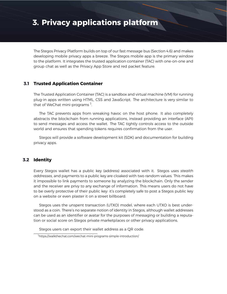# <span id="page-14-0"></span>**3. Privacy applications platform**

The Stegos Privacy Platform builds on top of our fast message bus (Section [4.6\)](#page-25-0) and makes developing mobile privacy apps a breeze. The Stegos mobile app is the primary window to the platform. It integrates the trusted application container (TAC) with one-on-one and group chat as well as the Privacy App Store and red packet feature.

# <span id="page-14-1"></span>**3.1 Trusted Application Container**

The Trusted Application Container (TAC) is a sandbox and virtual machine (VM) for running plug-in apps written using HTML, CSS and JavaScript. The architecture is very similar to that of WeChat mini-programs  $\frac{1}{1}$  $\frac{1}{1}$  $\frac{1}{1}$ . .

The TAC prevents apps from wreaking havoc on the host phone. It also completely abstracts the blockchain from running applications, instead providing an interface (API) to send messages and access the wallet. The TAC tightly controls access to the outside world and ensures that spending tokens requires confirmation from the user.

Stegos will provide a software development kit (SDK) and documentation for building privacy apps.

# <span id="page-14-2"></span>**3.2 Identity**

Every Stegos wallet has a public key (address) associated with it. Stegos uses *stealth addresses*, and payments to a public key are cloaked with two random values. This makes it impossible to link payments to someone by analyzing the blockchain. Only the sender and the receiver are privy to any exchange of information. This means users do not have to be overly protective of their public key: it's completely safe to post a Stegos public key on a website or even plaster it on a street billboard.

Stegos uses the unspent transaction (UTXO) model, where each UTXO is best understood as a coin. There's no separate notion of identity in Stegos, although wallet addresses can be used as an identifier or avatar for the purposes of messaging or building a reputation or social score on Stegos private marketplaces or other privacy applications.

Stegos users can export their wallet address as a QR code.

<span id="page-14-3"></span><sup>1</sup>https://walkthechat.com/wechat-mini-programs-simple-introduction/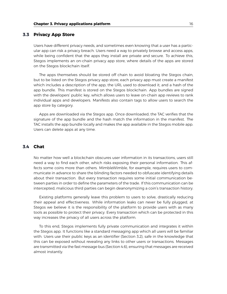# <span id="page-15-0"></span>**3.3 Privacy App Store**

Users have different privacy needs, and sometimes even knowing that a user has a particular app can risk a privacy breach. Users need a way to privately browse and access apps, while being confident that the apps they install are private and secure. To achieve this, Stegos implements an on-chain privacy app store, where details of the apps are stored on the Stegos blockchain itself.

The apps themselves should be stored off chain to avoid bloating the Stegos chain, but to be listed on the Stegos privacy app store, each privacy app must create a manifest which includes a description of the app, the URL used to download it, and a hash of the app bundle. This manifest is stored on the Stegos blockchain. App bundles are signed with the developers' public key, which allows users to leave on-chain app reviews to rank individual apps and developers. Manifests also contain tags to allow users to search the app store by category.

Apps are downloaded via the Stegos app. Once downloaded, the TAC verifies that the signature of the app bundle and the hash match the information in the manifest. The TAC installs the app bundle locally and makes the app available in the Stegos mobile app. Users can delete apps at any time.

# <span id="page-15-1"></span>**3.4 Chat**

No matter how well a blockchain obscures user information in its transactions, users still need a way to find each other, which risks exposing their personal information. This affects some coins more than others. MimbleWimble, for example, requires users to communicate in advance to share the blinding factors needed to obfuscate identifying details about their transaction. But every transaction requires some initial communication between parties in order to define the parameters of the trade. If this communication can be intercepted, malicious third parties can begin deanonymizing a coin's transaction history.

Existing platforms generally leave this problem to users to solve, drastically reducing their appeal and effectiveness. While information leaks can never be fully plugged, at Stegos we believe it is the responsibility of the platform to provide users with as many tools as possible to protect their privacy. Every transaction which can be protected in this way increases the privacy of all users across the platform.

To this end, Stegos implements fully private communication and integrates it within the Stegos app. It functions like a standard messaging app which all users will be familiar with. Users use their public keys as an identifier (Section [3.2\)](#page-14-2), safe in the knowledge that this can be exposed without revealing any links to other users or transactions. Messages are transmitted via the fast message bus (Section [4.6\)](#page-25-0), ensuring that messages are received almost instantly.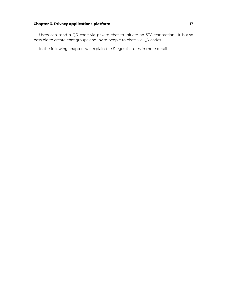Users can send a QR code via private chat to initiate an STG transaction. It is also possible to create chat groups and invite people to chats via QR codes.

In the following chapters we explain the Stegos features in more detail.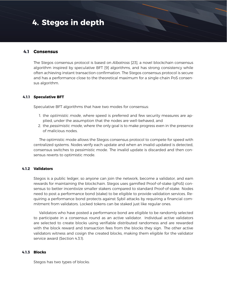# <span id="page-17-0"></span>**4. Stegos in depth**

# <span id="page-17-1"></span>**4.1 Consensus**

The Stegos consensus protocol is based on *Albatross* [\[23\]](#page-53-0), a novel blockchain consensus algorithm inspired by speculative BFT [\[9\]](#page-52-4) algorithms, and has strong consistency while often achieving instant transaction confirmation. The Stegos consensus protocol is secure and has a performance close to the theoretical maximum for a single-chain PoS consensus algorithm.

# **4.1.1 Speculative BFT**

Speculative BFT algorithms that have two modes for consensus:

- 1. the *optimistic mode*, where speed is preferred and few security measures are applied, under the assumption that the nodes are well-behaved, and
- 2. the *pessimistic mode*, where the only goal is to make progress even in the presence of malicious nodes.

The optimistic mode allows the Stegos consensus protocol to compete for speed with centralized systems. Nodes verify each update and when an invalid updated is detected, consensus switches to pessimistic mode. The invalid update is discarded and then consensus reverts to optimistic mode.

# **4.1.2 Validators**

Stegos is a public ledger, so anyone can join the network, become a validator, and earn rewards for maintaining the blockchain. Stegos uses gamified Proof-of-stake (gPoS) consensus to better incentivize smaller stakers compared to standard Proof-of-stake. Nodes need to post a performance bond (stake) to be eligible to provide validation services. Requiring a performance bond protects against Sybil attacks by requiring a financial commitment from validators. Locked tokens can be staked just like regular ones.

Validators who have posted a performance bond are eligible to be randomly selected to participate in a consensus round as an active validator. Individual active validators are selected to create blocks using verifiable distributed randomess and are rewarded with the block reward and transaction fees from the blocks they sign. The other active validators witness and cosign the created blocks, making them eligible for the validator service award (Section [4.3.1\)](#page-21-1).

# <span id="page-17-2"></span>**4.1.3 Blocks**

Stegos has two types of blocks: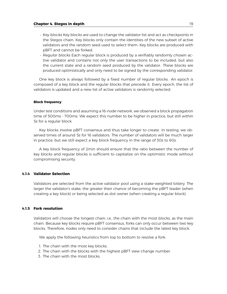- *Key blocks* Key blocks are used to change the validator list and act as checkpoints in the Stegos chain. Key blocks only contain the identities of the new subset of active validators and the random seed used to select them. Key blocks are produced with pBFT and cannot be forked.
- *Regular blocks* Each regular block is produced by a verifiably randomly chosen active validator and contains not only the user transactions to be included, but also the current state and a random seed produced by the validator. These blocks are produced optimistically and only need to be signed by the corresponding validator.

One key block is always followed by a fixed number of regular blocks. An *epoch* is composed of a key block and the regular blocks that precede it. Every epoch, the list of validators is updated and a new list of active validators is randomly selected.

#### **Block frequency**

Under test conditions and assuming a 16-node network, we observed a block propagation time of 500*ms* - 700*ms*. We expect this number to be higher in practice, but still within 5*s* for a regular block.

Key blocks involve pBFT consensus and thus take longer to create. In testing, we observed times of around 5*s* for 16 validators. The number of validators will be much larger in practice, but we still expect a key block frequency in the range of 30*s* to 60*s*.

A key block frequency of 2*min* should ensure that the ratio between the number of key blocks and regular blocks is sufficient to capitalize on the optimistic mode without compromising security.

# **4.1.4 Validator Selection**

Validators are selected from the active validator pool using a stake-weighted lottery. The larger the validator's stake, the greater their chance of becoming the pBFT leader (when creating a key block) or being selected as slot owner (when creating a regular block).

#### **4.1.5 Fork resolution**

Validators will choose the longest chain, i.e., the chain with the most blocks, as the main chain. Because key blocks require pBFT consensus, forks can only occur between two key blocks. Therefore, nodes only need to consider chains that include the latest key block.

We apply the following heuristics from top to bottom to resolve a fork:

- 1. The chain with the most key blocks.
- 2. The chain with the blocks with the highest pBFT view change number.
- 3. The chain with the most blocks.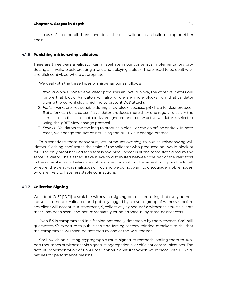In case of a tie on all three conditions, the next validator can build on top of either chain.

#### **4.1.6 Punishing misbehaving validators**

There are three ways a validator can misbehave in our consensus implementation: producing an invalid block, creating a fork, and delaying a block. These nead to be dealt with and disincentivized where appropriate.

We deal with the three types of misbehaviour as follows:

- 1. *Invalid blocks* When a validator produces an invalid block, the other validators will ignore that block. Validators will also ignore any more blocks from that validator during the current slot, which helps prevent DoS attacks.
- 2. *Forks* Forks are not possible during a key block, because pBFT is a forkless protocol. But a fork can be created if a validator produces more than one regular block in the same slot. In this case, both forks are ignored and a new active validator is selected using the pBFT view change protocol.
- 3. *Delays* Validators can too long to produce a block, or can go offline entirely. In both cases, we change the slot owner using the pBFT view change protocol.

To disenctivize these behaviours, we introduce *slashing* to punish misbehaving validators. Slashing confiscates the stake of the validator who produced an invalid block or fork. The only proof needed for a fork is two block headers at the same slot signed by the same validator. The slashed stake is evenly distributed between the rest of the validators in the current epoch. Delays are not punished by slashing, because it is impossible to tell whether the delay was malicious or not, and we do not want to discourage mobile nodes, who are likely to have less stable connections.

#### **4.1.7 Collective Signing**

We adopt *CoSi* [\[10,](#page-52-5)[11\]](#page-52-6), a scalable witness co-signing protocol ensuring that every authoritative statement is validated and publicly logged by a diverse group of witnesses before any client will accept it. A statement, *S*, collectively signed by *W* witnesses assures clients that *S* has been seen, and not immediately found erroneous, by those *W* observers.

Even if *S* is compromised in a fashion not readily detectable by the witnesses, CoSi still guarantees *S*'s exposure to public scrutiny, forcing secrecy-minded attackers to risk that the compromise will soon be detected by one of the *W* witnesses.

CoSi builds on existing cryptographic multi-signature methods, scaling them to support thousands of witnesses via signature aggregation over efficient communications. The default implementation of CoSi uses Schnorr signatures which we replace with BLS signatures for performance reasons.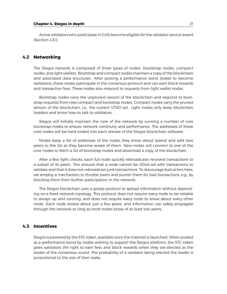Active validators who participate in CoSi become eligible for the validator service award (Section [4.3.1\)](#page-21-1)

# <span id="page-20-0"></span>**4.2 Networking**

The Stegos network is composed of three types of nodes: *bootstrap nodes*, *compact nodes*, and *light wallets*. Bootstrap and compact nodes maintain a copy of the blockchain and associated data structures. After posting a performance bond (stake) to become *validators*, these nodes participate in the consensus protocol and can earn block rewards and transaction fees. These nodes also respond to requests from light wallet nodes.

Bootstrap nodes carry the unpruned version of the blockchain and respond to bootstrap requests from new compact and bootstrap nodes. Compact nodes carry the pruned version of the blockchain, i.e., the current UTXO set. Light nodes only keep blockchain headers and know how to talk to validators.

Stegos will initially maintain the core of the network by running a number of core bootstrap nodes to ensure network continuity and performance. The addresses of these core nodes will be hard-coded into each release of the Stegos blockchain software.

Nodes keep a list of addresses of the nodes they know about (peers) and add new peers to the list as they become aware of them. New nodes will connect to one of the core nodes to fetch a list of bootstrap nodes and download a copy of the blockchain.

After a few light checks, each full node quickly rebroadcasts received transactions to a subset of its peers. This ensures that a node cannot be DDoS-ed with transactions to validate and that it does not rebroadcast junk transactions. To discourage bad actors here, we employ a mechanism to throttle peers and punish them for bad transactions, e.g., by blocking them from further participation in the network.

The Stegos blockchain uses a gossip protocol to spread information without depending on a fixed network topology. This protocol does not require every node to be reliable or always up and running, and does not require every node to know about every other node. Each node knows about just a few peers, and information can safely propagate through the network as long as most nodes know of at least two peers.

# <span id="page-20-1"></span>**4.3 Incentives**

Stegos is powered by the STG token, available once the mainnet is launched. When posted as a performance bond by nodes wishing to support the Stegos platform, the STG token gives validators the right to earn fees and block rewards when they are elected as the leader of the consensus round. The probability of a validator being elected the leader is proportional to the size of their stake.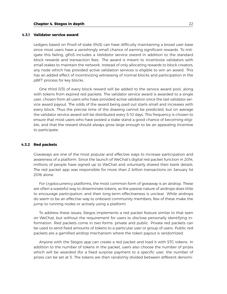### **4.3.1 Validator service award**

<span id="page-21-1"></span>Ledgers based on Proof-of-stake (PoS) can have difficulty maintaining a broad user base since most users have a vanishingly small chance of earning significant rewards. To mitigate this failing, gPoS includes a *Validator service award* in addition to the standard block rewards and transaction fees. The award is meant to incentivize validators with small stakes to maintain the network. Instead of only allocating rewards to block creators, any node which has provided active validation services is eligible to win an award. This has an added effect of incentivizing witnessing of normal blocks and participation in the pBFT process for key blocks.

One third (1/3) of every block reward will be added to the service award pool, along with tokens from expired red packets. The validator service award is awarded to a single user, chosen from all users who have provided active validation since the last validator service award payout. The odds of the award being paid out starts small and increases with every block. Thus the precise time of the drawing cannot be predicted, but on average the validator service award will be distributed every 5-10 days. This frequency is chosen to ensure that most users who have posted a stake stand a good chance of becoming eligible, and that the reward should always grow large enough to be an appealing incentive to participate.

#### <span id="page-21-0"></span>**4.3.2 Red packets**

Giveaways are one of the most popular and effective ways to increase participation and awareness of a platform. Since the launch of WeChat's digital red packet function in 2014, millions of people have signed up to WeChat and voluntarily shared their bank details. The red packet app was responsible for more than 2 billion transactions on January 1st 2016 alone.

For cryptocurrency platforms, the most common form of giveaway is an airdrop. These are often a wasteful way to disseminate tokens, as the passive nature of airdrops does little to encourage participation, and their long-term effectiveness is unclear. While airdrops do seem to be an effective way to onboard community members, few of these make the jump to running nodes or actively using a platform.

To address these issues, Stegos implements a red packet feature similar to that seen on WeChat, but without the requirement for users to disclose personally identifying information. Red packets come in two forms: private and public. Private red packets can be used to send fixed amounts of tokens to a particular user or group of users. Public red packets are a gamified airdrop mechanism where the token payout is randomized.

Anyone with the Stegos app can create a red packet and load it with STG tokens. In addition to the number of tokens in the packet, users also choose the number of prizes which will be awarded (for a fixed surprise payment to a specific user, the number of prizes can be set at 1). The tokens are then randomly divided between different denomi-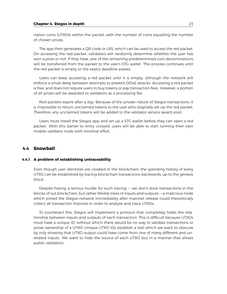nation coins (UTXOs) within the packet, with the number of coins equalling the number of chosen prizes.

The app then generates a QR code or URL which can be used to access the red packet. On accessing the red packet, validators will randomly determine whether the user has won a prize or not. If they have, one of the remaining predetermined coin denominations will be transferred from the packet to the user's STG wallet. This process continues until the red packet is empty or the expiry deadline passes.

Users can keep accessing a red packet until it is empty, although the network will enforce a small delay between attempts to prevent DDoS attacks. Accessing a red packet is free, and does not require users to buy tokens or pay transaction fees. However, a portion of all prizes will be awarded to validators as a processing fee.

Red packets expire after a day. Because of the private nature of Stegos transactions, it is impossible to return unclaimed tokens to the user who originally set up the red packet. Therefore, any unclaimed tokens will be added to the validator service award pool.

Users must install the Stegos app and set up a STG wallet before they can open a red packet. With this barrier to entry crossed, users will be able to start running their own mobile validator node with minimal effort.

# <span id="page-22-0"></span>**4.4 Snowball**

#### **4.4.1 A problem of establishing untraceability**

Even though user identities are cloaked in the blockchain, the spending history of every UTXO can be established by tracing blockchain transactions backwards, up to the genesis block.

Despite having a serious hurdle for such tracing — we don't store transactions in the blocks of out blockchain, but rather Merkle trees of inputs and outputs — a malicious node which joined the Stegos network immediately after mainnet release could theoretically collect all transaction histories in order to analyze and trace UTXOs.

To counteract this, Stegos will implement a protocol that completely hides the relationship between inputs and outputs of each transaction. This is difficult because UTXOs must have a unique *ID*, without which there would be no way to validate transactions or prove ownership of a UTXO. Unique UTXO IDs establish a trail which we want to obscure by only showing that UTXO output could have come from one of many different and unrelated inputs. We want to hide the source of each UTXO but in a manner that allows public validation.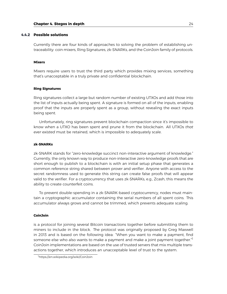# **4.4.2 Possible solutions**

Currently there are four kinds of approaches to solving the problem of establishing untraceability: coin mixers, Ring Signatures, zk-SNARKs, and the CoinJoin family of protocols.

#### **Mixers**

Mixers require users to trust the third party which provides mixing services, something that's unacceptable in a truly private and confidential blockchain.

#### **Ring Signatures**

Ring signatures collect a large but random number of existing UTXOs and add those into the list of inputs actually being spent. A signature is formed on all of the inputs, enabling proof that the inputs are properly spent as a group, without revealing the exact inputs being spent.

Unfortunately, ring signatures prevent blockchain compaction since it's impossible to know when a UTXO has been spent and prune it from the blockchain. All UTXOs *that ever existed* must be retained, which is impossible to adequately scale.

#### **zk-SNARKs**

zk-SNARK stands for "zero-knowledge succinct non-interactive argument of knowledge." Currently, the only known way to produce non-interactive zero-knowledge proofs that are short enough to publish to a blockchain is with an initial setup phase that generates a common reference string shared between prover and verifier. Anyone with access to the secret randomness used to generate this string can create false proofs that will appear valid to the verifier. For a cryptocurrency that uses zk-SNARKs, e.g., Zcash, this means the ability to create counterfeit coins.

To prevent double-spending in a zk-SNARK-based cryptocurrency, nodes must maintain a cryptographic accumulator containing the serial numbers of all spent coins. This accumulator always grows and cannot be trimmed, which prevents adequate scaling.

#### **CoinJoin**

is a protocol for joining several Bitcoin transactions together before submitting them to miners to include in the block. The protocol was originally proposed by Greg Maxwell in 2013 and is based on the following idea: "When you want to make a payment, find someone else who also wants to make a payment and make a joint payment together." CoinJoin implementations are based on the use of trusted servers that mix multiple transactions together, which introduces an unacceptable level of trust to the system.

<span id="page-23-0"></span><sup>&</sup>lt;sup>1</sup>https://en.wikipedia.org/wiki/CoinJoin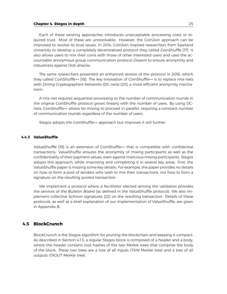#### **Chapter 4. Stegos in depth** 25

Each of these existing approaches introduces unacceptable processing costs or required trust. Most of these are unresolvable. However, the CoinJoin approach can be improved to resolve its trust issues. In 2014, CoinJoin inspired researchers from Saarland University to develop a completely decentralized protocol they called *CoinShuffle* [\[17\]](#page-53-1). It also allows users to mix their coins with those of other interested users and uses the accountable anonymous group communication protocol *Dissent* to ensure anonymity and robustness against DoS attacks.

The same researchers presented an enhanced version of the protocol in 2016, which they called *CoinShuffle++* [\[18\]](#page-53-2). The key innovation of CoinShuffle++ is to replace mix-nets with Dining Cryptographers Networks (DC-nets) [\[20\]](#page-53-3), a more efficient anonymity mechanism.

A mix-net requires sequential processing so the number of communication rounds in the original CoinShuffle protocol grows linearly with the number of users. By using DCnets, CoinShuffle++ allows for mixing to proceed in parallel, requiring a constant number of communication rounds regardless of the number of users.

Stegos adopts the CoinShuffle++ approach but improves it still further.

### 4.4.3 **ValueShuffle**

*ValueShuffle* [\[19\]](#page-53-4) is an extension of CoinShuffle++ that is compatible with confidential transactions. ValueShuffle ensures the anonymity of mixing participants as well as the confidentiality of their payment values, even against malicious mixing participants. Stegos adopts this approach, while improving and completing it in several key areas. First, the ValueShuffle paper is missing some key details: For example, the paper provides no details on how to form a pool of senders who wish to mix their transactions, nor how to form a signature on the resulting pooled transaction.

We implement a protocol where a *facilitator* elected among the validators provides the services of the *Bulletin Board* (as defined in the ValueShuffle protocol). We also implement collective Schnorr signatures [\[22\]](#page-53-5) on the resulting transaction. Details of these protocols, as well as a brief explanation of our implementation of ValueShuffle, are given in Appendix [B.](#page-43-0)

# <span id="page-24-0"></span>**4.5 BlockCrunch**

BlockCrunch is the Stegos algorithm for pruning the blockchain and keeping it compact. As described in Section [4.1.3,](#page-17-2) a regular Stegos block is composed of a header and a body, where the header contains root hashes of the two Merkle trees that comprise the body of the block. These two trees are a tree of all inputs (*TXIN* Merkle tree) and a tree of all outputs (*TXOUT* Merkle tree).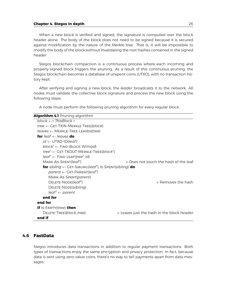#### **Chapter 4. Stegos in depth** 26

When a new block is verified and signed, the signature is computed over the block header alone. The body of the block does not need to be signed because it is secured against modification by the nature of the Merkle tree. That is, it will be impossible to modify the body of the block without invalidating the root hashes contained in the signed header.

Stegos blockchain compaction is a continuous process where each incoming and properly signed block triggers the pruning. As a result of this continuous pruning, the Stegos blockchain becomes a database of unspent coins (UTXO), with no transaction history kept.

After verifying and signing a new block, the *leader* broadcasts it to the network. All nodes must validate the collective block signature and process the new block using the following steps:

A node must perform the following pruning algorithm for every regular block:

| <b>Algorithm 4.1 Pruning algorithm</b>                                          |                                                           |
|---------------------------------------------------------------------------------|-----------------------------------------------------------|
| block $\leftarrow$ < This Block >                                               |                                                           |
| $tree \leftarrow$ GET-TXIN-MERKLE-TREE(block)                                   |                                                           |
| $leaves \leftarrow \text{MERKLE-Tree-LEAVES}(tree)$                             |                                                           |
| <b>for</b> leaf $\leftarrow$ leaves <b>do</b>                                   |                                                           |
| $id \leftarrow \text{UTXO-ID} (leaf)$                                           |                                                           |
| $block' \leftarrow$ FIND-BLOCK-WITH(id)                                         |                                                           |
| $tree' \leftarrow$ GET-TXOUT-MERKLE-TREE(block')                                |                                                           |
| $leaf' \leftarrow$ FIND-LEAF(tree', id)                                         |                                                           |
| MARK-AS-SPENT(leaf')                                                            | ⊳ Does not touch the hash of the leaf                     |
| <b>for</b> sibling $\leftarrow$ GET-SIBLING(leaf'), IS-SPENT(sibling) <b>do</b> |                                                           |
| $parent \leftarrow$ GET-PARENT(leaf')                                           |                                                           |
| MARK-AS-SPENT(parent)                                                           |                                                           |
| DELETE-NODE(leaf')                                                              | $\triangleright$ Removes the hash                         |
| DELETE-NODE(sibling)                                                            |                                                           |
| $leaf' \leftarrow parent$                                                       |                                                           |
| end for                                                                         |                                                           |
| end for                                                                         |                                                           |
| if Is-EMPTY(tree) then                                                          |                                                           |
| DELETE-TREE(block, tree)                                                        | $\triangleright$ Leaves just the hash in the block header |
| end if                                                                          |                                                           |

# <span id="page-25-0"></span>**4.6 FastData**

Stegos introduces data transactions in addition to regular payment transactions. Both types of transactions enjoy the same encryption and privacy protection. In fact, because data is sent using zero-value coins, there's no way to tell payments apart from data messages.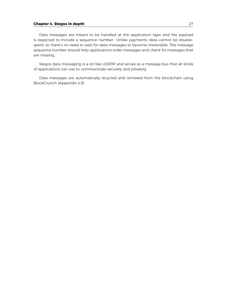### **Chapter 4. Stegos in depth** 27

Data messages are meant to be handled at the application layer and the payload is expected to include a sequence number. Unlike payments, data cannot be doublespent, so there's no need to wait for data messages to become irreversible. The message sequence number should help applications order messages and check for messages that are missing.

Stegos data messaging is a lot like UDP/IP and serves as a message bus that all kinds of applications can use to communicate securely and privately.

Data messages are automatically recycled and removed from the blockchain using BlockCrunch (Appendix [4.5\)](#page-24-0).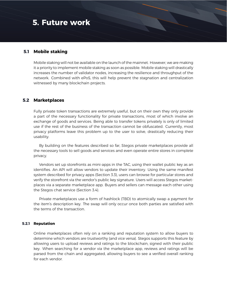# <span id="page-27-0"></span>**5. Future work**

# <span id="page-27-1"></span>**5.1 Mobile staking**

Mobile staking will not be available on the launch of the mainnet. However, we are making it a priority to implement mobile staking as soon as possible. Mobile staking will drastically increases the number of validator nodes, increasing the resilience and throughput of the network. Combined with ePoS, this will help prevent the stagnation and centralization witnessed by many blockchain projects.

# <span id="page-27-2"></span>**5.2 Marketplaces**

Fully private token transactions are extremely useful, but on their own they only provide a part of the necessary functionality for private transactions, most of which involve an exchange of goods and services. Being able to transfer tokens privately is only of limited use if the rest of the business of the transaction cannot be obfuscated. Currently, most privacy platforms leave this problem up to the user to solve, drastically reducing their usability.

By building on the features described so far, Stegos private marketplaces provide all the necessary tools to sell goods and services and even operate entire stores in complete privacy.

Vendors set up storefronts as mini-apps in the TAC, using their wallet public key as an identifies. An API will allow vendors to update their inventory. Using the same manifest system described for privacy apps (Section [3.3\)](#page-15-0), users can browse for particular stores and verify the storefront via the vendor's public key signature. Users will access Stegos marketplaces via a separate marketplace app. Buyers and sellers can message each other using the Stegos chat service (Section [3.4\)](#page-15-1).

Private marketplaces use a form of hashlock (TBD) to atomically swap a payment for the item's description key. The swap will only occur once both parties are satisfied with the terms of the transaction.

# **5.2.1 Reputation**

Online marketplaces often rely on a ranking and reputation system to allow buyers to determine which vendors are trustworthy (and vice versa). Stegos supports this feature by allowing users to upload reviews and ratings to the blockchain, signed with their public key. When searching for a vendor via the marketplace app, reviews and ratings will be parsed from the chain and aggregated, allowing buyers to see a verified overall ranking for each vendor.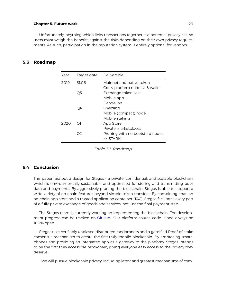Unfortunately, anything which links transactions together is a potential privacy risk, so users must weigh the benefits against the risks depending on their own privacy requirements. As such, participation in the reputation system is entirely optional for vendors.

# <span id="page-28-0"></span>**5.3 Roadmap**

| Year | Target date | Deliverable                                  |
|------|-------------|----------------------------------------------|
| 2019 | 31.05       | Mainnet and native token                     |
|      |             | Cross-platform node UI & wallet              |
|      | O3          | Exchange token sale                          |
|      |             | Mobile app                                   |
|      |             | Dandelion                                    |
|      | - 24        | Sharding                                     |
|      |             | Mobile (compact) node                        |
|      |             | Mobile staking                               |
| 2020 | ΟI          | App Store                                    |
|      |             | Private marketplaces                         |
|      |             | Pruning with no bootstrap nodes<br>zk-STARKs |
|      |             |                                              |

*Table 5.1: Roadmap*

# <span id="page-28-1"></span>**5.4 Conclusion**

This paper laid out a design for Stegos - a private, confidential, and scalable blockchain which is environmentally sustainable and optimized for storing and transmitting both data and payments. By aggressively pruning the blockchain, Stegos is able to support a wide variety of on-chain features beyond simple token transfers. By combining chat, an on-chain app store and a trusted application container (TAC), Stegos facilitates every part of a fully private exchange of goods and services, not just the final payment step.

The Stegos team is currently working on implementing the blockchain. The development progress can be tracked on [GitHub.](https://github.com/orgs/stegos/projects/1) Our platform source code is and always be 100% open.

Stegos uses verifiably unbiased distributed randomness and a gamified Proof-of-stake consensus mechanism to create the first truly mobile blockchain. By embracing smartphones and providing an integrated app as a gateway to the platform, Stegos intends to be the first truly accessible blockchain, giving everyone easy access to the privacy they deserve.

- We will pursue blockchain privacy, including latest and greatest mechanisms of com-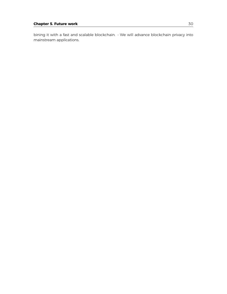bining it with a fast and scalable blockchain. - We will advance blockchain privacy into mainstream applications.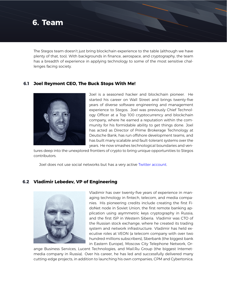<span id="page-30-0"></span>

The Stegos team doesn't just bring blockchain experience to the table (although we have plenty of that, too). With backgrounds in finance, aerospace, and cryptography, the team has a breadth of experience in applying technology to some of the most sensitive challenges facing society.

# <span id="page-30-1"></span>**6.1 Joel Reymont CEO, The Buck Stops With Me!**



Joel is a seasoned hacker and blockchain pioneer. He started his career on Wall Street and brings twenty-five years of diverse software engineering and management experience to Stegos. Joel was previously Chief Technology Officer at a Top 100 cryptocurrency and blockchain company, where he earned a reputation within the community for his formidable ability to get things done. Joel has acted as Director of Prime Brokerage Technology at Deutsche Bank, has run offshore development teams, and has built many scalable and fault-tolerant systems over the years. He now smashes technological boundaries and ven-

tures deep into the unexplored frontiers of crypto to bring unique opportunities to Stegos contributors.

Joel does not use social networks but has a very active [Twitter account.](http://twitter.com/joelreymont)

# <span id="page-30-2"></span>**6.2 Vladimir Lebedev, VP of Engineering**



Vladimir has over twenty-five years of experience in managing technology in fintech, telecom, and media companies. His pioneering credits include creating the first FidoNet node in Soviet Union, the first remote banking application using asymmetric keys cryptography in Russia, and the first ISP in Western Siberia. Vladimir was CTO of the Russian stock exchange, where he created its trading system and network infrastructure. Vladimir has held executive roles at VEON (a telecom company with over two hundred millions subscribers), Sberbank (the biggest bank in Eastern Europe), Moscow City Telephone Network, Or-

ange Business Services, Lucent Technologies, and Mail.Ru Group (the biggest Internetmedia company in Russia). Over his career, he has led and successfully delivered many cutting-edge projects, in addition to launching his own companies, CPM and Cybertonica.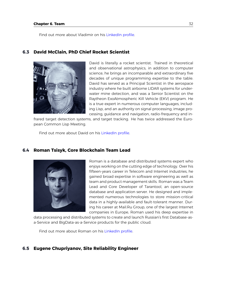<span id="page-31-0"></span>Find out more about Vladimir on his [LinkedIn profile.](https://linkedin.com/in/vlebedev)

# **6.3 David McClain, PhD Chief Rocket Scientist**



David is literally a rocket scientist. Trained in theoretical and observational astrophysics, in addition to computer science, he brings an incomparable and extraordinary five decades of unique programming expertise to the table. David has served as a Principal Scientist in the aerospace industry where he built airborne LIDAR systems for underwater mine detection, and was a Senior Scientist on the Raytheon ExoAtmospheric Kill Vehicle (EKV) program. He is a true expert in numerous computer languages, including Lisp, and an authority on signal processing, image processing, guidance and navigation, radio-frequency and in-

frared target detection systems, and target tracking. He has twice addressed the European Common Lisp Meeting.

<span id="page-31-1"></span>Find out more about David on his [LinkedIn profile.](https://www.linkedin.com/in/david-mcclain-685669155/)

# **6.4 Roman Tsisyk, Core Blockchain Team Lead**



Roman is a database and distributed systems expert who enjoys working on the cutting edge of technology. Over his fifteen-years career in Telecom and Internet industries, he gained broad expertise in software engineering as well as team and product management skills. Roman was a Team Lead and Core Developer of Tarantool, an open-source database and application server. He designed and implemented numerous technologies to store mission-critical data in a highly-available and fault-tolerant manner. During his career at Mail.Ru Group, one of the largest Internet companies in Europe, Roman used his deep expertise in

data processing and distributed systems to create and launch Russian's first Database-asa-Service and BigData-as-a-Service products for the public cloud.

Find out more about Roman on his [LinkedIn profile.](https://linkedin.com/in/roman.tsisyk)

# <span id="page-31-2"></span>**6.5 Eugene Chupriyanov, Site Reliability Engineer**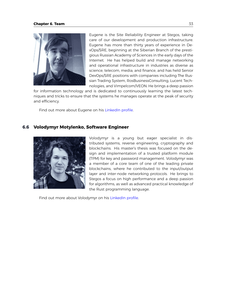#### **Chapter 6. Team** 33



Eugene is the Site Reliability Engineer at Stegos, taking care of our development and production infrastructure. Eugene has more than thirty years of experience in DevOps/SRE, beginning at the Siberian Branch of the prestigious Russian Academy of Sciences in the early days of the Internet. He has helped build and manage networking and operational infrastructure in industries as diverse as science, telecom, media, and finance, and has held Senior DevOps/SRE positions with companies including The Russian Trading System, RosBusinessConsulting, Lucent Technologies, and Vimpelcom/VEON. He brings a deep passion

for information technology and is dedicated to continuously learning the latest techniques and tricks to ensure that the systems he manages operate at the peak of security and efficiency.

Find out more about Eugene on his [LinkedIn profile.](https://www.linkedin.com/in/eugenechupriyanov/)

# <span id="page-32-0"></span>**6.6 Volodymyr Motylenko, Software Engineer**



Volodymyr is a young but eager specialist in distributed systems, reverse engineering, cryptography and blockchains. His master's thesis was focused on the design and implementation of a trusted platform module (TPM) for key and password management. Volodymyr was a member of a core team of one of the leading private blockchains, where he contributed to the input/output layer and inter-node networking protocols. He brings to Stegos a focus on high performance and a deep passion for algorithms, as well as advanced practical knowledge of the Rust programming language.

Find out more about Volodymyr on his [LinkedIn profile.](https://linkedin.com/in/vldm)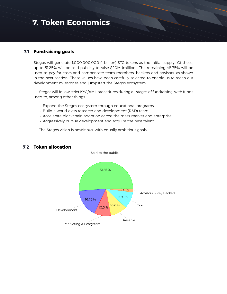# <span id="page-33-0"></span>**7. Token Economics**

# <span id="page-33-1"></span>**7.1 Fundraising goals**

Stegos will generate 1,000,000,000 (1 billion) STG tokens as the initial supply. Of these, up to 51.25% will be sold publicly to raise \$20M (million). The remaining 48.75% will be used to pay for costs and compensate team members, backers and advisors, as shown in the next section. These values have been carefully selected to enable us to reach our development milestones and jumpstart the Stegos ecosystem.

Stegos will follow strict KYC/AML procedures during all stages of fundraising, with funds used to, among other things:

- Expand the Stegos ecosystem through educational programs
- Build a world-class research and development (R&D) team
- Accelerate blockchain adoption across the mass-market and enterprise
- Aggressively pursue development and acquire the best talent

The Stegos vision is ambitious, with equally ambitious goals!



# <span id="page-33-2"></span>**7.2 Token allocation**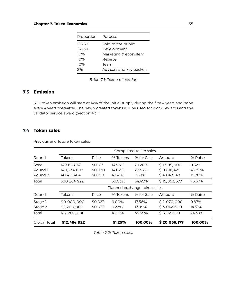| Proportion | Purpose                  |
|------------|--------------------------|
| 51.25%     | Sold to the public       |
| 16.75%     | Development              |
| 10%        | Marketing & ecosystem    |
| 10%        | Reserve                  |
| 10%        | Team                     |
| 2%         | Advisors and key backers |

*Table 7.1: Token allocation*

# <span id="page-34-0"></span>**7.3 Emission**

STG token emission will start at 14% of the initial supply during the first 4 years and halve every 4 years thereafter. The newly created tokens will be used for block rewards and the validator service award (Section [4.3.1\)](#page-21-1).

# <span id="page-34-1"></span>**7.4 Token sales**

Previous and future token sales:

|                          |                         |          |                              | Completed token sales |                |         |  |
|--------------------------|-------------------------|----------|------------------------------|-----------------------|----------------|---------|--|
| Round                    | Tokens                  | Price    | % Tokens                     | % for Sale            | Amount         | % Raise |  |
| Seed                     | 149, 628, 741           | \$0.013  | 14.96%                       | 29.20%                | \$1,995,000    | 9.52%   |  |
| Round 1                  | 140, 234, 698           | \$0.070  | 14.02%                       | 27.36%                | \$9,816,429    | 46.82%  |  |
| Round 2                  | \$0.100<br>40, 421, 484 |          | 4.04%                        | 7.89%                 | \$4,042,148    | 19.28%  |  |
| Total                    | 330, 284, 922           |          | 33.03%                       | 64.45%                | \$15, 853, 577 | 75.61%  |  |
|                          |                         |          | Planned exchange token sales |                       |                |         |  |
| Price<br>Tokens<br>Round |                         | % Tokens | % for Sale                   | Amount                | % Raise        |         |  |
| Stage 1                  | \$0.023<br>90,000,000   |          | 9.00%                        | 17.56%                | \$2,070,000    | 9.87%   |  |
| Stage 2                  | 92, 200, 000            | \$0.033  |                              | 17.99%                | \$3,042,600    | 14.51%  |  |
| 182, 200, 000<br>Total   |                         | 18.22%   | 35.55%                       | \$5,112,600           | 24.39%         |         |  |
| Global Total             | 512, 484, 922           |          | 51.25%                       | 100.00%               | \$20,966,177   | 100.00% |  |

*Table 7.2: Token sales*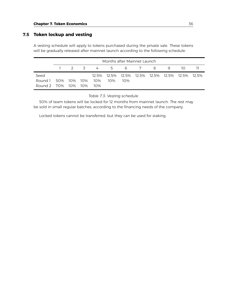# **7.5 Token lockup and vesting**

<span id="page-35-0"></span>A vesting schedule will apply to tokens purchased during the private sale. These tokens will be gradually released after mainnet launch according to the following schedule:

|                 | Months after Mainnet Launch |     |                 |       |     |             |     |   |   |                         |         |
|-----------------|-----------------------------|-----|-----------------|-------|-----|-------------|-----|---|---|-------------------------|---------|
|                 |                             |     | $2 \frac{3}{2}$ |       | 4 5 |             | 6 7 | 8 | 9 | 10.                     |         |
| Seed            |                             |     |                 | 12.5% |     | 12.5% 12.5% |     |   |   | 12.5% 12.5% 12.5% 12.5% | - 12.5% |
| Round 1         | 50%                         | 10% | 10%             | 10%   | 10% | 10%         |     |   |   |                         |         |
| Round 2 70% 10% |                             |     | 10%             | ിറ%   |     |             |     |   |   |                         |         |

# *Table 7.3: Vesting schedule*

50% of team tokens will be locked for 12 months from mainnet launch. The rest may be sold in small regular batches, according to the financing needs of the company.

Locked tokens cannot be transferred, but they can be used for staking.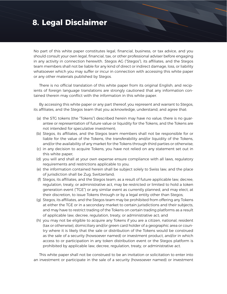# <span id="page-36-0"></span>**8. Legal Disclaimer**

No part of this white paper constitutes legal, financial, business, or tax advice, and you should consult your own legal, financial, tax, or other professional adviser before engaging in any activity in connection herewith. Stegos AG ("Stegos"), its affiliates, and the Stegos team members shall not be liable for any kind of direct or indirect damage, loss, or liability whatsoever which you may suffer or incur in connection with accessing this white paper or any other materials published by Stegos.

There is no official translation of this white paper from its original English, and recipients of foreign language translations are strongly cautioned that any information contained therein may conflict with the information in this white paper.

By accessing this white paper or any part thereof, you represent and warrant to Stegos, its affiliates, and the Stegos team that you acknowledge, understand, and agree that:

- (a) the STG tokens (the "Tokens") described herein may have no value, there is no guarantee or representation of future value or liquidity for the Tokens, and the Tokens are not intended for speculative investment;
- (b) Stegos, its affiliates, and the Stegos team members shall not be responsible for or liable for the value of the Tokens, the transferability and/or liquidity of the Tokens, and/or the availability of any market for the Tokens through third parties or otherwise;
- (c) in any decision to acquire Tokens, you have not relied on any statement set out in this white paper;
- (d) you will and shall at your own expense ensure compliance with all laws, regulatory requirements and restrictions applicable to you;
- (e) the information contained herein shall be subject solely to Swiss law, and the place of jurisdiction shall be Zug, Switzerland;
- (f) Stegos, its affiliates, and the Stegos team, as a result of future applicable law, decree, regulation, treaty, or administrative act, may be restricted or limited to hold a token generation event ("TGE") or any similar event as currently planned, and may elect, at their discretion, to issue Tokens through or by a legal entity other than Stegos;
- (g) Stegos, its affiliates, and the Stegos team may be prohibited from offering any Tokens at either the TGE or in a secondary market to certain jurisdictions and their subjects, and may have to restrict trading of the Tokens on certain trading platforms as a result of applicable law, decree, regulation, treaty, or administrative act; and
- (h) you may not be eligible to acquire any Tokens if you are a citizen, national, resident (tax or otherwise), domiciliary and/or green card holder of a geographic area or country where it is likely that the sale or distribution of the Tokens would be construed as the sale of a security (howsoever named) or investment product, and/or in which access to or participation in any token distribution event or the Stegos platform is prohibited by applicable law, decree, regulation, treaty, or administrative act.

This white paper shall not be construed to be an invitation or solicitation to enter into an investment or participate in the sale of a security (howsoever named) or investment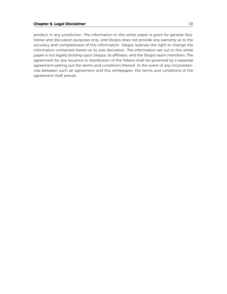product in any jurisdiction. The information in this white paper is given for general illustrative and discussion purposes only, and Stegos does not provide any warranty as to the accuracy and completeness of this information. Stegos reserves the right to change the information contained herein at its sole discretion. The information set out in this white paper is not legally binding upon Stegos, its affiliates, and the Stegos team members. The agreement for any issuance or distribution of the Tokens shall be governed by a separate agreement setting out the terms and conditions thereof. In the event of any inconsistencies between such an agreement and this whitepaper, the terms and conditions of the agreement shall prevail.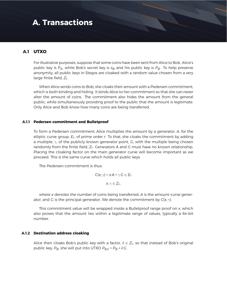# <span id="page-38-0"></span>**A. Transactions**

# **A.1 UTXO**

For illustrative purposes, suppose that some coins have been sent from Alice to Bob. Alice's public key is  $P_A$ , while Bob's secret key is  $s_B$  and his public key is  $P_B$ . To help preserve anonymity, all public keys in Stegos are cloaked with a random value chosen from a very large finite field, *Z<sup>r</sup>* .

When Alice sends coins to Bob, she cloaks their amount with a Pedersen commitment, which is both binding and hiding. It binds Alice to her commitment so that she can never alter the amount of coins. The commitment also hides the amount from the general public, while simultaneously providing proof to the public that the amount is legitimate. Only Alice and Bob know how many coins are being transferred.

### **A.1.1 Pedersen commitment and Bulletproof**

To form a Pedersen commitment, Alice multiplies the amount by a generator, *A*, for the elliptic curve group, E<sub>r</sub>, of prime order r. To that, she cloaks the commitment by adding a multiple, γ, of the publicly known generator point, *G*, with the multiple being chosen randomly from the finite field, Z<sub>r</sub>. Generators A and G must have no known relationship. Placing the cloaking factor on the main generator curve will become important as we proceed. This is the same curve which holds all public keys.

The Pedersen commitment is thus:

$$
C(x, \gamma) = xA + \gamma G \in E_r
$$

$$
x, \gamma \in Z_r,
$$

where *x* denotes the number of coins being transferred, *A* is the amount-curve generator, and *G* is the principal generator. We denote the commitment by *C*(*x*, γ).

This commitment value will be wrapped inside a Bulletproof range proof on *x*, which also proves that the amount lies within a legitimate range of values, typically a 64-bit number.

# **A.1.2 Destination address cloaking**

Alice then cloaks Bob's public key with a factor,  $\delta \in Z_r$ , so that instead of Bob's original public key,  $P_B$ , she will put into UTXO  $P_{B,\delta} = P_B + \delta G$ .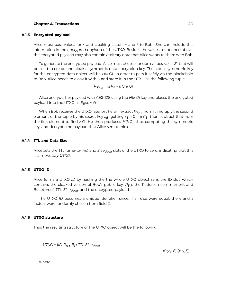### **A.1.3 Encrypted payload**

Alice must pass values for x and cloaking factors  $\gamma$  and  $\delta$  to Bob. She can include this information in the *encrypted payload* of the UTXO. Besides the values mentioned above, the encrypted payload may also contain arbitrary data that Alice wants to share with Bob.

To generate the encrypted payload, Alice must choose random values  $\alpha, k \in \mathbb{Z}_r$  that will be used to create and cloak a symmetric data encryption key. The actual symmetric key for the encrypted data object will be *H*(*k G*). In order to pass it safely via the blockchain to Bob, Alice needs to cloak it with  $\alpha$  and store it in the UTXO as the following tuple:

$$
\mathsf{Key}_{\alpha} = (\alpha P_B + k \, \mathsf{G}, \alpha \, \mathsf{G})
$$

Alice encrypts her payload with AES-128 using the *H*(*k G*) key and places the encrypted payload into the UTXO as  $E_B(x, \gamma, \delta)$ .

When Bob receives the UTXO later on, he will extract  $Key_{\alpha}$  from it, multiply the second element of the tuple by his secret key  $s_B$ , getting  $s_B \alpha G = \alpha P_B$ , then subtract that from the first element to find *k G*. He then produces *H*(*k G*), thus computing the symmetric key, and decrypts the payload that Alice sent to him.

# **A.1.4 TTL and Data Size**

Alice sets the TTL (time-to-live) and *Sizedata* slots of the UTXO to zero, indicating that this is a *monetary UTXO*.

#### **A.1.5 UTXO ID**

Alice forms a UTXO *ID* by hashing the the whole UTXO object sans the ID slot, which contains the cloaked version of Bob's public key,  $P_{\mathcal{B},\delta}$ , the Pedersen commitment and Bulletproof, TTL, *Sizedata*, and the encrypted payload.

The UTXO *ID* becomes a unique identifier, since, if all else were equal, the  $\gamma$  and  $\delta$ factors were randomly chosen from field *Z<sup>r</sup>* .

#### **A.1.6 UTXO structure**

Thus the resulting structure of the UTXO object will be the following:

*UTXO* = (*ID*,*PB*,<sup>δ</sup> , *Bp*, *TTL*, *Sizedata*,

*Key*<sub>α</sub>, *E<sub>B</sub>*(*x*, γ, δ))

where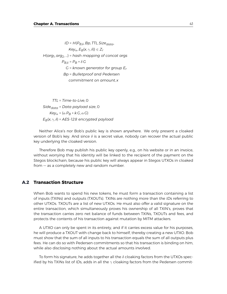*ID* = *H*(*PB*,<sup>δ</sup> , *Bp*, *TTL*, *Sizedata*,  $Key_{\alpha}$ ,  $E_B(X, \gamma, \delta)$ )  $\in Z_r$ *H*(*arg*<sup>1</sup> ,*arg*2, ...) = *hash mapping of concat args*  $P_{B\delta} = P_B + \delta G$ *G* = *known generator for group E<sup>r</sup> Bp* = *Bulletproof and Pedersen commitment on amount*, *x*

*TTL* = *Time-to-Live*, 0 *Sidedata* = *Data payload size*, 0  $Key_{\alpha} = (\alpha P_B + k G, \alpha G)$  $E_B(x, \gamma, \delta)$  = *AES-128 encrypted payload* 

Neither Alice's nor Bob's public key is shown anywhere. We only present a cloaked version of Bob's key. And since  $\delta$  is a secret value, nobody can recover the actual public key underlying the cloaked version.

Therefore Bob may publish his public key openly, e.g., on his website or in an invoice, without worrying that his identity will be linked to the recipient of the payment on the Stegos blockchain, because his public key will always appear in Stegos UTXOs in cloaked from — as a completely new and random number.

# **A.2 Transaction Structure**

When Bob wants to spend his new tokens, he must form a transaction containing a list of inputs (TXINs) and outputs (TXOUTs). TXINs are nothing more than the *ID*s referring to other UTXOs. TXOUTs are a list of new UTXOs. He must also offer a valid signature on the entire transaction, which simultaneously proves his ownership of all TXIN's, proves that the transaction carries zero net balance of funds between TXINs, TXOUTs and fees, and protects the contents of his transaction against mutation by MITM attackers.

A UTXO can only be spent in its entirety, and if it carries excess value for his purposes, he will produce a TXOUT with change back to himself, thereby creating a new UTXO. Bob must show that the sum of all inputs to his transaction equals the sum of all outputs plus fees. He can do so with Pedersen commitments so that his transaction is binding on him, while also disclosing nothing about the actual amounts involved.

To form his signature, he adds together all the  $\delta$  cloaking factors from the UTXOs specified by his TXINs list of *ID*s, adds in all the  $\gamma$  cloaking factors from the Pedersen commit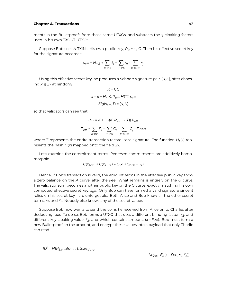ments in the Bulletproofs from those same UTXOs, and subtracts the  $\gamma$  cloaking factors used in his own TXOUT UTXOs.

Suppose Bob uses *N* TXINs. His own public key,  $P_B$  = s<sub>B</sub> G. Then his effective secret key for the signature becomes:

$$
s_{\text{eff}} = N s_B + \sum_{i \in \text{ins}} \delta_i + \sum_{i \in \text{ins}} \gamma_i - \sum_{j \in \text{outs}} \gamma_j
$$

Using this effective secret key, he produces a Schnorr signature pair, (*u*, *K*), after choosing  $k \in Z_r$  at random:

$$
K = k G
$$
  

$$
u = k + Hr(K, Peff, H(T)) seff
$$
  

$$
Sig(seff, T) = (u, K)
$$

so that validators can see that:

$$
u G = K + H_r(K, P_{\text{eff}}, H(T)) P_{\text{eff}}
$$

$$
P_{\text{eff}} = \sum_{i \in \text{ins}} P_i + \sum_{i \in \text{ins}} C_i - \sum_{j \in \text{outs}} C_j - \text{Fee } A
$$

where *T* represents the entire transaction record, sans signature. The function *H<sup>r</sup>* (*x*) represents the hash  $H(x)$  mapped onto the field  $Z_r$ . .

Let's examine the commitment terms. Pedersen commitments are additively homomorphic:

$$
C(x_1, \gamma_1) + C(x_2, \gamma_2) = C(x_1 + x_2, \gamma_1 + \gamma_2)
$$

Hence, if Bob's transaction is valid, the amount terms in the effective public key show a zero balance on the *A* curve, after the *Fee*. What remains is entirely on the *G* curve. The validator sum becomes another public key on the *G* curve, exactly matching his own computed effective secret key,  $s_{eff}$ . Only Bob can have formed a valid signature since it relies on his secret key. It is unforgeable. Both Alice and Bob know all the other secret terms,  $\gamma$ s and  $\delta$ s. Nobody else knows any of the secret values.

Suppose Bob now wants to send the coins he received from Alice on to Charlie, after deducting fees. To do so, Bob forms a UTXO that uses a different blinding factor,  $\gamma_2$ , and different key cloaking value,  $\delta_2$ , and which contains amount,  $(x - Fee)$ . Bob must form a new Bulletproof on the amount, and encrypt these values into a payload that only Charlie can read:

$$
ID' = H(P_{S,\delta_2}, Bp', TTL, Size_{data},
$$

*Key*α<sup>2</sup> , *ES*(*x* – *Fee*, γ2, δ2))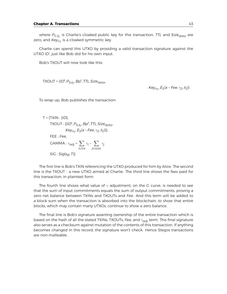### **Chapter A. Transactions** 43

where  $P_{\text{C},\delta_2}$  is Charlie's cloaked public key for this transaction, *TTL* and S*ize<sub>data</sub>* are zero, and  $\mathsf{Key}_{\alpha_2}$  is a cloaked symmetric key.

Charlie can spend this UTXO by providing a valid transaction signature against the UTXO *ID'*, just like Bob did for his own input.

Bob's TXOUT will now look like this:

TXOUT = (*ID*<sup>0</sup> ,*PS*,δ<sup>2</sup> , *Bp*<sup>0</sup> , *TTL*, *Sizedata*,

*Key*α<sup>2</sup> , *ES*(*x* – *Fee*, γ2, δ2))

To wrap up, Bob publishes the transaction:

T = {TXIN : {*ID*}, TXOUT : {(*ID*<sup>0</sup> ,*PS*,δ<sup>2</sup> , *Bp*<sup>0</sup> , *TTL*, *Sizedata*, *Key*α<sup>2</sup> , *ES*(*x* – *Fee*, γ2, δ2))}, FEE : *Fee*, GAMMA :  $\gamma_{\alpha d j}$  =  $\sum$ *i*∈ins  $\gamma_i$ -  $\sum$ *j*∈outs γ*j* SIG : *Sig*(*sB*, *T*)}

The first line is Bob's TXIN referencing the UTXO produced for him by Alice. The second line is the TXOUT - a new UTXO aimed at Charlie. The third line shows the fees paid for this transaction, in plaintext form.

The fourth line shows what value of  $\gamma$  adjustment, on the *G* curve, is needed to see that the sum of input commitments equals the sum of output commitments, proving a zero net balance between TXINs and TXOUTs and *Fee*. And this term will be added to a block sum when the transaction is absorbed into the blockchain, to show that entire blocks, which may contain many UTXOs, continue to show a zero balance.

The final line is Bob's signature asserting ownership of the entire transaction which is based on the hash of all the stated TXINs, TXOUTs, *Fee*, and <sub>γαdi</sub> term. This final signature also serves as a checksum against mutation of the contents of this transaction. If anything becomes changed in this record, the signature won't check. Hence Stegos transactions are non-malleable.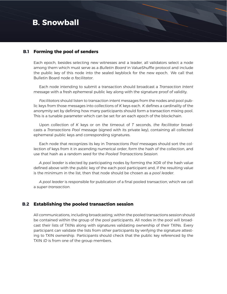# <span id="page-43-0"></span>**B. Snowball**

# **B.1 Forming the pool of senders**

Each epoch, besides selecting new witnesses and a leader, all validators select a node among them which must serve as a *Bulletin Board* in ValueShuffle protocol and include the public key of this node into the sealed keyblock for the new epoch. We call that Bulletin Board node *a facilitator*.

Each node intending to submit a transaction should broadcast a *Transaction Intent* message with a fresh ephemeral public key along with the signature proof of validity.

*Facilitators* should listen to transaction intent messages from the nodes and pool public keys from those messages into collections of *K* keys each. *K* defines a cardinality of the anonymity set by defining how many participants should form a transaction mixing pool. This is a tunable parameter which can be set for an each epoch of the blockchain.

Upon collection of *K* keys or on the timeout of *T* seconds, *the facilitator* broadcasts a *Transactions Pool* message (signed with its private key), containing all collected ephemeral public keys and corresponding signatures.

Each node that recognizes its key in *Transactions Pool* messages should sort the collection of keys from it in ascending numerical order, form the hash of the collection, and use that hash as a random seed for the *Pooled Transactions Session*.

*A pool leader* is elected by participating nodes by forming the XOR of the hash value defined above with the public key of the each pool participant and, if the resulting value is the minimum in the list, then that node should be chosen as a *pool leader*.

*A pool leader* is responsible for publication of a final pooled transaction, which we call a *super-transaction*.

# **B.2 Establishing the pooled transaction session**

All communications, including broadcasting, within the pooled transactions session should be contained within the group of the pool participants. All nodes in the pool will broadcast their lists of TXINs along with signatures validating ownership of their TXINs. Every participant can validate the lists from other participants by verifying the signature attesting to TXIN ownership. Participants should check that the public key referenced by the TXIN *ID* is from one of the group members.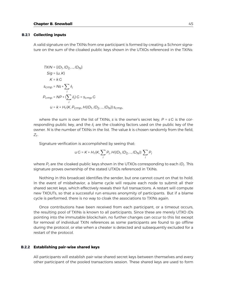#### **B.2.1 Collecting inputs**

A valid signature on the TXINs from one participant is formed by creating a Schnorr signature on the sum of the cloaked public keys shown in the UTXOs referenced in the TXINs:

$$
TXIN = \{ID_1, ID_2, ..., ID_N\}
$$
  
\n
$$
Sig = (u, K)
$$
  
\n
$$
K = kC
$$
  
\n
$$
S_{cmp} = NS + \sum_{i} \delta_i
$$
  
\n
$$
P_{cmp} = NP + (\sum_{i} \delta_i) G = S_{cmp} G
$$
  
\n
$$
u = k + H_r(K, P_{cmp}, H(|D_1, ID_2, ..., ID_N)) S_{cmp},
$$

where the sum is over the list of TXINs, *s* is the owner's secret key, *P* = *s G* is the corresponding public key, and the  $\delta_i$  are the cloaking factors used on the public key of the owner. *N* is the number of TXINs in the list. The value *k* is chosen randomly from the field, *Zr* .

Signature verification is accomplished by seeing that:

$$
u G = K + H_r(K, \sum_i P_i, H(ID_1, ID_2, ..., ID_N)) \sum_i P_i
$$

where *P<sup>i</sup>* are the cloaked public keys shown in the UTXOs corresponding to each *ID<sup>i</sup>* . This signature proves ownership of the stated UTXOs referenced in TXINs.

Nothing in this broadcast identifies the sender, but one cannot count on that to hold. In the event of misbehavior, a blame cycle will require each node to submit all their shared secret keys, which effectively reveals their full transactions. A restart will compute new TXOUTs, so that a successful run ensures anonymity of participants. But if a blame cycle is performed, there is no way to cloak the associations to TXINs again.

Once contributions have been received from each participant, or a timeout occurs, the resulting pool of TXINs is known to all participants. Since these are merely UTXO *ID*s pointing into the immutable blockchain, no further changes can occur to this list except for removal of individual TXIN references as some participants are found to go offline during the protocol, or else when a cheater is detected and subsequently excluded for a restart of the protocol.

#### **B.2.2 Establishing pair-wise shared keys**

All participants will establish pair-wise shared secret keys between themselves and every other participant of the pooled transactions session. These shared keys are used to form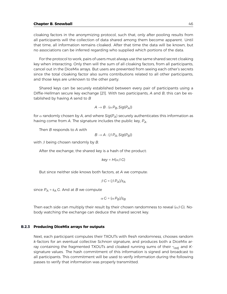#### **Chapter B. Snowball** 46

cloaking factors in the anonymizing protocol, such that, only after pooling results from all participants will the collection of data shared among them become apparent. Until that time, all information remains cloaked. After that time the data will be known, but no associations can be inferred regarding who supplied which portions of the data.

For the protocol to work, pairs of users must always use the same shared secret cloaking key when interacting. Only then will the sum of all cloaking factors, from all participants, cancel out in the DiceMix arrays. But users are prevented from seeing each other's secrets since the total cloaking factor also sums contributions related to all other participants, and those keys are unknown to the other party.

Shared keys can be securely established between every pair of participants using a Diffie-Hellman secure key exchange [\[21\]](#page-53-6). With two participants, A and B, this can be established by having *A* send to *B*

$$
A \to B : (\alpha \, P_B, Sig(P_A))
$$

for α randomly chosen by *A*, and where *Sig*(*PA*) securely authenticates this information as having come from *A*. The signature includes the public key, *PA*.

Then *B* responds to *A* with

$$
B\to A:(\beta\,P_A,Sig(P_B))
$$

with β being chosen randomly by *B*.

After the exchange, the shared key is a hash of the product:

$$
key = H(\alpha\beta\,G)
$$

But since neither side knows both factors, at *A* we compute:

$$
\beta G = (\beta P_A)/s_A
$$

since  $P_A$  =  $s_A$  *G*. And at *B* we compute

$$
\alpha\,G=(\alpha\,P_B)/s_B
$$

Then each side can multiply their result by their chosen randomness to reveal ( $\alpha\beta$  *G*). Nobody watching the exchange can deduce the shared secret key.

#### **B.2.3 Producing DiceMix arrays for outputs**

Next, each participant computes their TXOUTs with *fresh randomness*, chooses random *k*-factors for an eventual collective Schnorr signature, and produces both a DiceMix array containing the fragmented TXOUTs and cloaked running sums of their γ*adj* and *K*signature values. The hash commitment of this information is signed and broadcast to all participants. This commitment will be used to verify information during the following passes to verify that information was properly transmitted.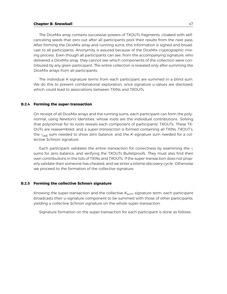#### **Chapter B. Snowball** 47

The DiceMix array contains successive powers of TXOUTs fragments, cloaked with selfcanceling seeds that zero-out after all participants pool their results from the next pass. After forming the DiceMix array and running sums, this information is signed and broadcast to all participants. Anonymity is assured because of the DiceMix cryptographic mixing process. Even though all participants can see, from the accompanying signature, who delivered a DiceMix array, they cannot see which components of the collection were contributed by any given participant. The entire collection is revealed only after summing the DiceMix arrays from all participants.

The individual *K*-signature terms from each participant are summed in a blind sum. We do this to prevent combinatorial exploration, once signature *u*-values are disclosed, which could lead to associations between TXINs and TXOUTs.

#### **B.2.4 Forming the super-transaction**

On receipt of all DiceMix arrays and the running sums, each participant can form the polynomial, using Newton's Identities, whose roots are the individual contributions. Solving that polynomial for its roots reveals each component of participants' TXOUTs. These TX-OUTs are reassembled, and a *super-transaction* is formed containing all TXINs, TXOUT's, the γ*adj* sum needed to show zero balance, and the *K*-signature sum needed for a collective Schnorr signature.

Each participant validates the entire transaction for correctness by examining the  $\gamma$ sums for zero balance, and verifying the TXOUTs Bulletproofs. They must also find their own contributions in the lists of TXINs and TXOUTs. If the super-transaction does not properly validate then someone has cheated, and we enter a *blame discovery cycle*. Otherwise we proceed to the formation of the collective signature.

#### **B.2.5 Forming the collective Schnorr signature**

Knowing the super-transaction and the collective *Ksum* signature term, each participant broadcasts their *u*-signature component to be summed with those of other participants, yielding a collective Schnorr signature on the whole super-transaction.

Signature formation on the super-transaction for each participant is done as follows: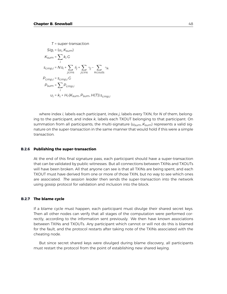$$
T = super-transaction
$$
  
\n
$$
Sig_{i} = (u_{i}, K_{sum})
$$
  
\n
$$
K_{sum} = \sum_{i} k_{i} G
$$
  
\n
$$
S_{cmp,i} = N s_{i} + \sum_{j \in ins} \delta_{j} + \sum_{j \in ins} \gamma_{j} - \sum_{k \in cuts} \gamma_{k}
$$
  
\n
$$
P_{cmp,i} = S_{cmp,i} G
$$
  
\n
$$
P_{sum} = \sum_{i} P_{cmp,i}
$$
  
\n
$$
u_{i} = k_{i} + H_{r}(K_{sum}, P_{sum}, H(T)) s_{cmp,i}
$$

where index *i*, labels each participant, index *j*, labels every TXIN, for *N* of them, belonging to the participant, and index *k*, labels each TXOUT belonging to that participant. On summation from all participants, the multi-signature (*usum*,*Ksum*) represents a valid signature on the super-transaction in the same manner that would hold if this were a simple transaction.

#### **B.2.6 Publishing the super-transaction**

At the end of this final signature pass, each participant should have a super-transaction that can be validated by public witnesses. But all connections between TXINs and TXOUTs will have been broken. All that anyone can see is that all TXINs are being spent, and each TXOUT must have derived from one or more of those TXIN, but no way to see which ones are associated. *The session leader* then sends the super-transaction into the network using gossip protocol for validation and inclusion into the block.

#### **B.2.7 The blame cycle**

If a blame cycle must happen, each participant must divulge their shared secret keys. Then all other nodes can verify that all stages of the computation were performed correctly, according to the information sent previously. We then have known associations between TXINs and TXOUTs. Any participant which cannot or will not do this is blamed for the fault, and the protocol restarts after taking note of the TXINs associated with the cheating node.

But since secret shared keys were divulged during blame discovery, all participants must restart the protocol from the point of establishing new shared keying.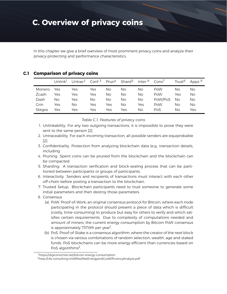# <span id="page-48-0"></span>**C. Overview of privacy coins**

In this chapter we give a brief overview of most prominent privacy coins and analyze their privacy-protecting and performance characteristics.

# **C.1 Comparison of privacy coins**

|               | Unlink <sup>i</sup> | Untrac <sup><math>\angle</math></sup> | Conf <sup>3</sup> | Prun <sup>4</sup> | Shard <sup>5</sup> | Inter <sup>6</sup> | $Cons^7$ | Trust <sup>8</sup> | Apps <sup>9</sup> |
|---------------|---------------------|---------------------------------------|-------------------|-------------------|--------------------|--------------------|----------|--------------------|-------------------|
| Monero        | Yes                 | Yes                                   | Yes               | No                | No                 | No                 | PoW      | Νo                 | No                |
| Zcash         | Yes                 | Yes                                   | Yes               | No                | No                 | No                 | PoW      | Yes                | No                |
| Dash          | No                  | Yes                                   | No                | No                | No                 | No                 | PoW/PoS  | No                 | No                |
| Grin          | Yes                 | No                                    | Yes               | Yes               | No                 | Yes                | PoW      | No                 | No                |
| <b>Stegos</b> | Yes                 | Yes                                   | Yes               | Yes               | Yes                | No                 | PoS      | No                 | Yes               |

*Table C.1: Features of privacy coins*

- 1. Unlinkability. For any two outgoing transactions, it is impossible to prove they were sent to the same person [\[2\]](#page-52-7).
- 2. Untraceability. For each incoming transaction, all possible senders are equiprobable [\[2\]](#page-52-7).
- 3. Confidentiality. Protection from analyzing blockchain data (e.g., transaction details, including
- 4. Pruning. Spent coins can be pruned from the blockchain and the blockchain can be compacted.
- 5. Sharding. A transaction verification and block-sealing process that can be partitioned between participants or groups of participants.
- 6. Interactivity. Senders and recipients of transactions must interact with each other *off-chain* before posting a transaction to the blockchain.
- 7. Trusted Setup. Blockchain participants need to trust someone to generate some initial parameters and then destroy those parameters.
- 8. Consensus
	- (a) PoW. Proof-of-Work, an original consensus protocol for Bitcoin, where each node participating in the protocol should present a piece of data which is difficult (costly, time-consuming) to produce but easy for others to verify and which satisfies certain requirements. Due to complexity of computations needed and amount of miners, the current energy consumption by Bitcoin PoW consensus is approximately 73TWh per year<sup>[1](#page-48-1)</sup>. .
	- (b) PoS. Proof-of-Stake is a consensus algorithm, where the creator of the next block is chosen via various combinations of random selection, wealth, age and staked funds. PoS blockchains can be more energy efficient than currencies based on PoS algorithms<sup>[2](#page-48-2)</sup>. .

<span id="page-48-1"></span><sup>1</sup>https://digiconomist.net/bitcoin-energy-consumption

<span id="page-48-2"></span><sup>&</sup>lt;sup>2</sup>http://cfa-consulting.ch/dlfiles/NxtEnergyandCostEfficiencyAnalysis.pdf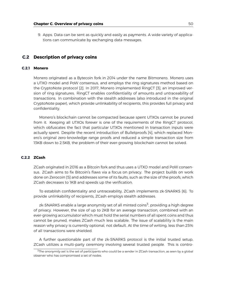9. Apps. Data can be sent as quickly and easily as payments. A wide variety of applications can communicate by exchanging data messages.

# **C.2 Description of privacy coins**

#### **C.2.1 Monero**

Monero originated as a Bytecoin fork in 2014 under the name Bitmonero. Monero uses a UTXO model and PoW consensus, and employs the ring signatures method based on the CryptoNote protocol [\[2\]](#page-52-7). In 2017, Monero implemented RingCT [\[3\]](#page-52-8), an improved version of ring signatures. RingCT enables confidentiality of amounts and untraceability of transactions. In combination with the stealth addresses (also introduced in the original CryptoNote paper), which provide unlinkability of recipients, this provides full privacy and confidentiality.

Monero's blockchain cannot be compacted because spent UTXOs cannot be pruned from it. Keeping all UTXOs forever is one of the requirements of the RingCT protocol, which obfuscates the fact that particular UTXOs mentioned in transaction inputs were actually spent. Despite the recent introduction of Bulletproofs [\[4\]](#page-52-3), which replaced Monero's original zero-knowledge range proofs and reduced a simple transaction size from 13KB down to 2.5KB, the problem of their ever-growing blockchain cannot be solved.

# **C.2.2 ZCash**

ZCash originated in 2016 as a Bitcoin fork and thus uses a UTXO model and PoW consensus. ZCash aims to fix Bitcoin's flaws via a focus on privacy. The project builds on work done on Zerocoin [\[5\]](#page-52-9) and addresses some of its faults, such as the size of the proofs, which ZCash decreases to 1KB and speeds up the verification.

To establish confidentiality and untraceability, ZCash implements zk-SNARKS [\[6\]](#page-52-10). To provide unlinkability of recipients, ZCash employs stealth addresses.

zk-SNARKS enable a large anonymity set of all minted coins<sup>[3](#page-49-0)</sup>, providing a high degree of privacy. However, the size of up to 2KB for an average transaction, combined with an ever-growing accumulator which must hold the serial numbers of all spent coins and thus cannot be pruned, makes ZCash much less scalable. The issue of scalability is the main reason why privacy is currently optional, not default. At the time of writing, less than 25% of all transactions were shielded.

A further questionable part of the zk-SNARKS protocol is the initial trusted setup. ZCash utilizes a multi-party ceremony involving several trusted people. This is contro-

<span id="page-49-0"></span><sup>3</sup>The *anonymity set* is the set of participants who could be a sender in ZCash transaction, as seen by a global observer who has compromised a set of nodes.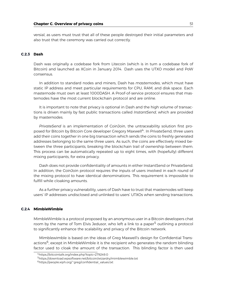versial, as users must trust that all of these people destroyed their initial parameters and also trust that the ceremony was carried out correctly.

#### **C.2.3 Dash**

Dash was originally a codebase fork from Litecoin (which is in turn a codebase fork of Bitcoin) and launched as XCoin in January 2014. Dash uses the UTXO model and PoW consensus.

In addition to standard nodes and miners, Dash has *masternodes*, which must have static IP address and meet particular requirements for CPU, RAM, and disk space. Each masternode must own at least 1000DASH. A Proof-of-service protocol ensures that masternodes have the most current blockchain protocol and are online.

It is important to note that privacy is optional in Dash and the high volume of transactions is driven mainly by fast public transactions called *InstantSend*, which are provided by masternodes.

*PrivateSend* is an implementation of CoinJoin, the untraceability solution first pro-posed for Bitcoin by Bitcoin Core developer Gregory Maxwell<sup>[4](#page-50-0)</sup>. In PrivateSend, three users add their coins together in one big transaction which sends the coins to freshly generated addresses belonging to the same three users. As such, the coins are effectively mixed between the three participants, breaking the blockchain trail of ownership between them. This process can be automatically repeated up to eight times, with (hopefully) different mixing participants, for extra privacy.

Dash does not provide confidentiality of amounts in either InstantSend or PrivateSend. In addition, the CoinJoin protocol requires the inputs of users involved in each round of the mixing protocol to have identical denominations. This requirement is impossible to fulfill while cloaking amounts.

As a further privacy vulnerability, users of Dash have to trust that masternodes will keep users' IP addresses undisclosed and unlinked to users' UTXOs when sending transactions.

# **C.2.4 MimbleWimble**

MimbleWimble is a protocol proposed by an anonymous user in a Bitcoin developers chat room by the name of Tom Elvis Jedusor, who left a link to a paper<sup>[5](#page-50-1)</sup> outlining a protocol to significantly enhance the scalability and privacy of the Bitcoin network.

Mimblewimble is based on the ideas of Greg Maxwell's design for Confidential Trans-actions<sup>[6](#page-50-2)</sup>, except in MimbleWimble it is the recipient who generates the random blinding factor used to cloak the amount of the transaction. This blinding factor is then used

<span id="page-50-0"></span><sup>4</sup>https://bitcointalk.org/index.php?topic=279249.0

<span id="page-50-1"></span><sup>5</sup>https://download.wpsoftware.net/bitcoin/wizardry/mimblewimble.txt

<span id="page-50-2"></span><sup>6</sup>https://people.xiph.org/˜greg/confidential\_values.txt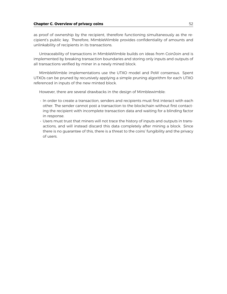as proof of ownership by the recipient, therefore functioning simultaneously as the recipient's public key. Therefore, MimbleWimble provides confidentiality of amounts and unlinkability of recipients in its transactions.

Untraceability of transactions in MimbleWimble builds on ideas from CoinJoin and is implemented by breaking transaction boundaries and storing only inputs and outputs of all transactions verified by miner in a newly mined block.

MimbleWimble implementations use the UTXO model and PoW consensus. Spent UTXOs can be pruned by recursively applying a simple pruning algorithm for each UTXO referenced in inputs of the new minted block.

However, there are several drawbacks in the design of Mimblewimble:

- In order to create a transaction, senders and recipients must first interact with each other. The sender cannot post a transaction to the blockchain without first contacting the recipient with incomplete transaction data and waiting for a blinding factor in response.
- Users must trust that miners will not trace the history of inputs and outputs in transactions, and will instead discard this data completely after mining a block. Since there is no guarantee of this, there is a threat to the coins' fungibility and the privacy of users.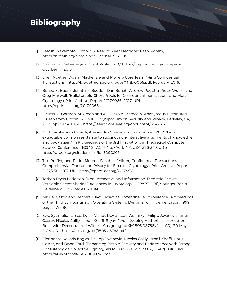# **Bibliography**

- <span id="page-52-0"></span>[1] Satoshi Nakamoto. "Bitcoin: A Peer-to-Peer Electronic Cash System," https://bitcoin.org/bitcoin.pdf, October 31, 2008.
- <span id="page-52-7"></span>[2] Nicolas van Saberhagen. "CryptoNote v 2.0," https://cryptonote.org/whitepaper.pdf, October 17, 2013.
- <span id="page-52-8"></span>[3] Shen Noether, Adam Mackenzie and Monero Core Team. "Ring Confidential Transactions," https://lab.getmonero.org/pubs/MRL-0005.pdf, February, 2016.
- <span id="page-52-3"></span>[4] Benedikt Buenz, Jonathan Bootle†, Dan Boneh, Andrew Poelstra, Pieter Wuille, and Greg Maxwell. "Bulletproofs: Short Proofs for Confidential Transactions and More," Cryptology ePrint Archive, Report 2017/1066, 2017. URL: https://eprint.iacr.org/2017/1066.
- <span id="page-52-9"></span>[5] I. Miers, C. Garman, M. Green and A. D. Rubin. "Zerocoin: Anonymous Distributed E-Cash from Bitcoin," 2013 IEEE Symposium on Security and Privacy, Berkeley, CA, 2013, pp. 397-411. URL: https://ieeexplore.ieee.org/document/6547123
- <span id="page-52-10"></span>[6] Nir Bitansky, Ran Canetti, Alessandro Chiesa, and Eran Tromer. 2012. "From extractable collision resistance to succinct non-interactive arguments of knowledge, and back again," in Proceedings of the 3rd Innovations in Theoretical Computer Science Conference (ITCS '12). ACM, New York, NY, USA, 326-349. URL: https://dl.acm.org/citation.cfm?id=2090263
- <span id="page-52-1"></span>[7] Tim Ruffing and Pedro Moreno-Sanchez. "Mixing Confidential Transactions: Comprehensive Transaction Privacy for Bitcoin," Cryptology ePrint Archive, Report 2017/238, 2017. URL: https://eprint.iacr.org/2017/238
- <span id="page-52-2"></span>[8] Torben Pryds Pedersen. "Non-Interactive and Information-Theoretic Secure Verifiable Secret Sharing," Advances in Cryptology — CRYPTO '91", Springer Berlin Heidelberg, 1992, pages 129–140.
- <span id="page-52-4"></span>[9] Miguel Castro and Barbara Liskov. "Practical Byzantine Fault Tolerance," Proceedings of the Third Symposium on Operating Systems Design and Implementation, 1999, pages 173–186.
- <span id="page-52-5"></span>[10] Ewa Syta, Iulia Tamas, Dylan Visher, David Isaac Wolinsky, Philipp Jovanovic, Linus Gasser, Nicolas Gailly, Ismail Khoffi, Bryan Ford. "Keeping Authorities "Honest or Bust" with Decentralized Witness Cosigning," arXiv:1503.08768v4 [cs.CR], 30 May 2016. URL: https://arxiv.org/pdf/1503.08768.pdf
- <span id="page-52-6"></span>[11] Eleftherios Kokoris-Kogias, Philipp Jovanovic, Nicolas Gailly, Ismail Khoffi, Linus Gasser, and Bryan Ford. "Enhancing Bitcoin Security and Performance with Strong Consistency via Collective Signing," arXiv:1602.06997v3 [cs.CR], 1 Aug 2016. URL: https://arxiv.org/pdf/1602.06997v3.pdf